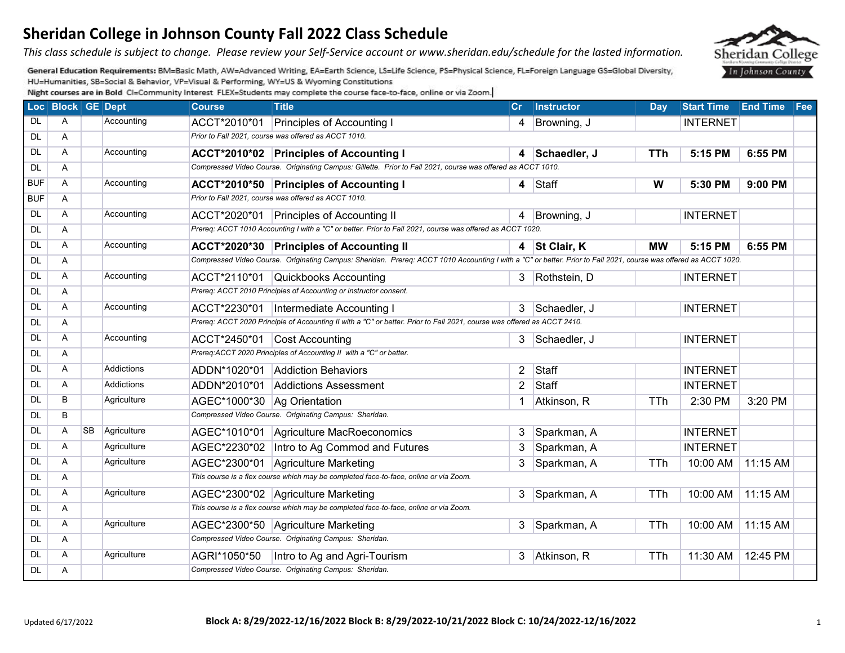*This class schedule is subject to change. Please review your Self-Service account or www.sheridan.edu/schedule for the lasted information.* 

General Education Requirements: BM=Basic Math, AW=Advanced Writing, EA=Earth Science, LS=Life Science, PS=Physical Science, FL=Foreign Language GS=Global Diversity, HU=Humanities, SB=Social & Behavior, VP=Visual & Performing, WY=US & Wyoming Constitutions

|            | Loc Block GE Dept |           |             | <b>Course</b>                 | <b>Title</b>                                                                                                                                                     | Cr.            | <b>Instructor</b> | Day        | Start Time End Time Fee |          |  |
|------------|-------------------|-----------|-------------|-------------------------------|------------------------------------------------------------------------------------------------------------------------------------------------------------------|----------------|-------------------|------------|-------------------------|----------|--|
| DL.        | A                 |           | Accounting  | ACCT*2010*01                  | <b>Principles of Accounting I</b>                                                                                                                                | 4              | Browning, J       |            | <b>INTERNET</b>         |          |  |
| DL         | A                 |           |             |                               | Prior to Fall 2021, course was offered as ACCT 1010.                                                                                                             |                |                   |            |                         |          |  |
| <b>DL</b>  | A                 |           | Accounting  |                               | ACCT*2010*02 Principles of Accounting I                                                                                                                          |                | 4 Schaedler, J    | TTh        | 5:15 PM                 | 6:55 PM  |  |
| <b>DL</b>  | A                 |           |             |                               | Compressed Video Course. Originating Campus: Gillette. Prior to Fall 2021, course was offered as ACCT 1010.                                                      |                |                   |            |                         |          |  |
| <b>BUF</b> | A                 |           | Accounting  |                               | ACCT*2010*50 Principles of Accounting I                                                                                                                          |                | $4$ Staff         | W          | 5:30 PM                 | 9:00 PM  |  |
| <b>BUF</b> | A                 |           |             |                               | Prior to Fall 2021, course was offered as ACCT 1010.                                                                                                             |                |                   |            |                         |          |  |
| <b>DL</b>  | A                 |           | Accounting  |                               | ACCT*2020*01 Principles of Accounting II                                                                                                                         | 4              | Browning, J       |            | <b>INTERNET</b>         |          |  |
| <b>DL</b>  | A                 |           |             |                               | Prereq: ACCT 1010 Accounting I with a "C" or better. Prior to Fall 2021, course was offered as ACCT 1020.                                                        |                |                   |            |                         |          |  |
| DL         | A                 |           | Accounting  |                               | ACCT*2020*30 Principles of Accounting II                                                                                                                         |                | 4 St Clair, K     | <b>MW</b>  | 5:15 PM                 | 6:55 PM  |  |
| <b>DL</b>  | A                 |           |             |                               | Compressed Video Course. Originating Campus: Sheridan. Prereq: ACCT 1010 Accounting I with a "C" or better. Prior to Fall 2021, course was offered as ACCT 1020. |                |                   |            |                         |          |  |
| <b>DL</b>  | A                 |           | Accounting  |                               | ACCT*2110*01 Quickbooks Accounting                                                                                                                               |                | 3 Rothstein, D    |            | <b>INTERNET</b>         |          |  |
| <b>DL</b>  | A                 |           |             |                               | Prereq: ACCT 2010 Principles of Accounting or instructor consent.                                                                                                |                |                   |            |                         |          |  |
| <b>DL</b>  | A                 |           | Accounting  |                               | ACCT*2230*01  Intermediate Accounting I                                                                                                                          |                | 3 Schaedler, J    |            | <b>INTERNET</b>         |          |  |
| <b>DL</b>  | A                 |           |             |                               | Prereq: ACCT 2020 Principle of Accounting II with a "C" or better. Prior to Fall 2021, course was offered as ACCT 2410.                                          |                |                   |            |                         |          |  |
| <b>DL</b>  | A                 |           | Accounting  |                               | ACCT*2450*01 Cost Accounting                                                                                                                                     |                | 3 Schaedler, J    |            | <b>INTERNET</b>         |          |  |
| <b>DL</b>  | A                 |           |             |                               | Prereq:ACCT 2020 Principles of Accounting II with a "C" or better.                                                                                               |                |                   |            |                         |          |  |
| DL         | A                 |           | Addictions  |                               | ADDN*1020*01 Addiction Behaviors                                                                                                                                 | 2              | Staff             |            | <b>INTERNET</b>         |          |  |
| DL         | A                 |           | Addictions  | ADDN*2010*01                  | Addictions Assessment                                                                                                                                            | $\overline{2}$ | Staff             |            | <b>INTERNET</b>         |          |  |
| DL         | B                 |           | Agriculture | AGEC*1000*30   Ag Orientation |                                                                                                                                                                  | 1              | Atkinson, R       | <b>TTh</b> | 2:30 PM                 | 3:20 PM  |  |
| <b>DL</b>  | B                 |           |             |                               | Compressed Video Course. Originating Campus: Sheridan.                                                                                                           |                |                   |            |                         |          |  |
| <b>DL</b>  | A                 | <b>SB</b> | Agriculture |                               | AGEC*1010*01 Agriculture MacRoeconomics                                                                                                                          | 3              | Sparkman, A       |            | <b>INTERNET</b>         |          |  |
| <b>DL</b>  | A                 |           | Agriculture |                               | AGEC*2230*02   Intro to Ag Commod and Futures                                                                                                                    | 3              | Sparkman, A       |            | <b>INTERNET</b>         |          |  |
| <b>DL</b>  | A                 |           | Agriculture | AGEC*2300*01                  | Agriculture Marketing                                                                                                                                            | 3              | Sparkman, A       | <b>TTh</b> | 10:00 AM                | 11:15 AM |  |
| <b>DL</b>  | A                 |           |             |                               | This course is a flex course which may be completed face-to-face, online or via Zoom.                                                                            |                |                   |            |                         |          |  |
| <b>DL</b>  | A                 |           | Agriculture |                               | AGEC*2300*02 Agriculture Marketing                                                                                                                               | 3              | Sparkman, A       | TTh        | 10:00 AM                | 11:15 AM |  |
| <b>DL</b>  | A                 |           |             |                               | This course is a flex course which may be completed face-to-face, online or via Zoom.                                                                            |                |                   |            |                         |          |  |
| <b>DL</b>  | A                 |           | Agriculture |                               | AGEC*2300*50 Agriculture Marketing                                                                                                                               | 3              | Sparkman, A       | <b>TTh</b> | 10:00 AM                | 11:15 AM |  |
| <b>DL</b>  | A                 |           |             |                               | Compressed Video Course. Originating Campus: Sheridan.                                                                                                           |                |                   |            |                         |          |  |
| DL         | A                 |           | Agriculture | AGRI*1050*50                  | Intro to Ag and Agri-Tourism                                                                                                                                     |                | 3 Atkinson, R     | <b>TTh</b> | 11:30 AM                | 12:45 PM |  |
| <b>DL</b>  | A                 |           |             |                               | Compressed Video Course. Originating Campus: Sheridan.                                                                                                           |                |                   |            |                         |          |  |

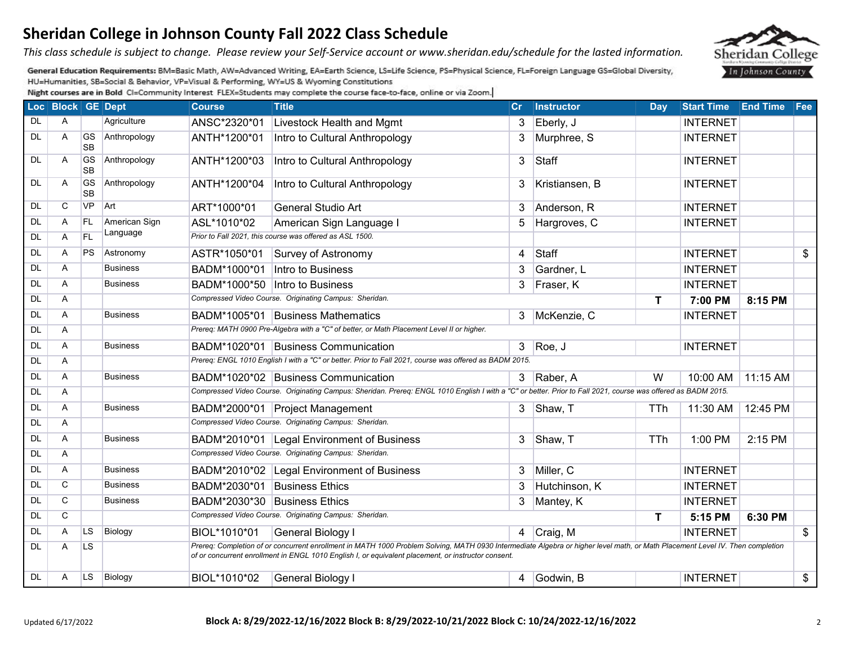*This class schedule is subject to change. Please review your Self-Service account or www.sheridan.edu/schedule for the lasted information.* 

General Education Requirements: BM=Basic Math, AW=Advanced Writing, EA=Earth Science, LS=Life Science, PS=Physical Science, FL=Foreign Language GS=Global Diversity, HU=Humanities, SB=Social & Behavior, VP=Visual & Performing, WY=US & Wyoming Constitutions

|           | Loc Block GE Dept |                        |                 | <b>Course</b>                | <b>Title</b>                                                                                                                                                                                                                                                                         | Cr             | <b>Instructor</b> | Day          | Start Time End Time Fee |          |                |
|-----------|-------------------|------------------------|-----------------|------------------------------|--------------------------------------------------------------------------------------------------------------------------------------------------------------------------------------------------------------------------------------------------------------------------------------|----------------|-------------------|--------------|-------------------------|----------|----------------|
| <b>DL</b> | A                 |                        | Agriculture     | ANSC*2320*01                 | Livestock Health and Mgmt                                                                                                                                                                                                                                                            |                | 3 Eberly, J       |              | <b>INTERNET</b>         |          |                |
| DL        | A                 | GS<br><b>SB</b>        | Anthropology    | ANTH*1200*01                 | Intro to Cultural Anthropology                                                                                                                                                                                                                                                       | 3              | Murphree, S       |              | <b>INTERNET</b>         |          |                |
| DL        | A                 | <b>GS</b><br><b>SB</b> | Anthropology    | ANTH*1200*03                 | Intro to Cultural Anthropology                                                                                                                                                                                                                                                       | 3              | Staff             |              | <b>INTERNET</b>         |          |                |
| DL        | A                 | <b>GS</b><br><b>SB</b> | Anthropology    | ANTH*1200*04                 | Intro to Cultural Anthropology                                                                                                                                                                                                                                                       | 3              | Kristiansen, B    |              | <b>INTERNET</b>         |          |                |
| <b>DL</b> | C                 | <b>VP</b>              | Art             | ART*1000*01                  | General Studio Art                                                                                                                                                                                                                                                                   | 3              | Anderson, R       |              | <b>INTERNET</b>         |          |                |
| <b>DL</b> | A                 | FL.                    | American Sign   | ASL*1010*02                  | American Sign Language I                                                                                                                                                                                                                                                             | 5              | Hargroves, C      |              | <b>INTERNET</b>         |          |                |
| <b>DL</b> | A                 | <b>FL</b>              | Language        |                              | Prior to Fall 2021, this course was offered as ASL 1500.                                                                                                                                                                                                                             |                |                   |              |                         |          |                |
| <b>DL</b> | A                 | <b>PS</b>              | Astronomy       | ASTR*1050*01                 | Survey of Astronomy                                                                                                                                                                                                                                                                  | 4              | <b>Staff</b>      |              | <b>INTERNET</b>         |          | $\mathfrak{P}$ |
| <b>DL</b> | A                 |                        | <b>Business</b> | BADM*1000*01                 | Intro to Business                                                                                                                                                                                                                                                                    | 3              | Gardner, L        |              | <b>INTERNET</b>         |          |                |
| <b>DL</b> | A                 |                        | <b>Business</b> | BADM*1000*50                 | Intro to Business                                                                                                                                                                                                                                                                    | 3              | Fraser, K         |              | <b>INTERNET</b>         |          |                |
| <b>DL</b> | Α                 |                        |                 |                              | Compressed Video Course. Originating Campus: Sheridan.                                                                                                                                                                                                                               |                |                   | $\mathsf{T}$ | 7:00 PM                 | 8:15 PM  |                |
| <b>DL</b> | A                 |                        | <b>Business</b> |                              | BADM*1005*01 Business Mathematics                                                                                                                                                                                                                                                    | 3              | McKenzie, C       |              | <b>INTERNET</b>         |          |                |
| <b>DL</b> | A                 |                        |                 |                              | Prereq: MATH 0900 Pre-Algebra with a "C" of better, or Math Placement Level II or higher.                                                                                                                                                                                            |                |                   |              |                         |          |                |
| <b>DL</b> | A                 |                        | <b>Business</b> |                              | BADM*1020*01 Business Communication                                                                                                                                                                                                                                                  | 3 <sup>1</sup> | Roe, J            |              | <b>INTERNET</b>         |          |                |
| DL        | A                 |                        |                 |                              | Prereq: ENGL 1010 English I with a "C" or better. Prior to Fall 2021, course was offered as BADM 2015.                                                                                                                                                                               |                |                   |              |                         |          |                |
| <b>DL</b> | A                 |                        | <b>Business</b> |                              | BADM*1020*02 Business Communication                                                                                                                                                                                                                                                  |                | 3 Raber, A        | W            | 10:00 AM                | 11:15 AM |                |
| <b>DL</b> | A                 |                        |                 |                              | Compressed Video Course. Originating Campus: Sheridan. Prereq: ENGL 1010 English I with a "C" or better. Prior to Fall 2021, course was offered as BADM 2015.                                                                                                                        |                |                   |              |                         |          |                |
| <b>DL</b> | A                 |                        | <b>Business</b> |                              | BADM*2000*01 Project Management                                                                                                                                                                                                                                                      |                | 3 Shaw, T         | <b>TTh</b>   | 11:30 AM                | 12:45 PM |                |
| <b>DL</b> | A                 |                        |                 |                              | Compressed Video Course. Originating Campus: Sheridan.                                                                                                                                                                                                                               |                |                   |              |                         |          |                |
| <b>DL</b> | A                 |                        | <b>Business</b> |                              | BADM*2010*01 Legal Environment of Business                                                                                                                                                                                                                                           | 3              | Shaw, T           | TTh          | 1:00 PM                 | 2:15 PM  |                |
| <b>DL</b> | A                 |                        |                 |                              | Compressed Video Course. Originating Campus: Sheridan.                                                                                                                                                                                                                               |                |                   |              |                         |          |                |
| <b>DL</b> | A                 |                        | <b>Business</b> |                              | BADM*2010*02 Legal Environment of Business                                                                                                                                                                                                                                           | 3              | Miller, C         |              | <b>INTERNET</b>         |          |                |
| <b>DL</b> | $\overline{C}$    |                        | <b>Business</b> | BADM*2030*01 Business Ethics |                                                                                                                                                                                                                                                                                      | 3              | Hutchinson, K     |              | <b>INTERNET</b>         |          |                |
| <b>DL</b> | C                 |                        | <b>Business</b> | BADM*2030*30 Business Ethics |                                                                                                                                                                                                                                                                                      | 3              | Mantey, K         |              | <b>INTERNET</b>         |          |                |
| <b>DL</b> | $\mathsf{C}$      |                        |                 |                              | Compressed Video Course. Originating Campus: Sheridan.                                                                                                                                                                                                                               |                |                   | T            | 5:15 PM                 | 6:30 PM  |                |
| <b>DL</b> | A                 | LS <sub>.</sub>        | Biology         | BIOL*1010*01                 | General Biology I                                                                                                                                                                                                                                                                    |                | 4 Craig, M        |              | <b>INTERNET</b>         |          | $\frac{1}{2}$  |
| <b>DL</b> | A                 | <b>LS</b>              |                 |                              | Prereq: Completion of or concurrent enrollment in MATH 1000 Problem Solving, MATH 0930 Intermediate Algebra or higher level math, or Math Placement Level IV. Then completion<br>of or concurrent enrollment in ENGL 1010 English I, or equivalent placement, or instructor consent. |                |                   |              |                         |          |                |
| <b>DL</b> | A                 | LS.                    | Biology         | BIOL*1010*02                 | General Biology I                                                                                                                                                                                                                                                                    |                | 4 Godwin, B       |              | <b>INTERNET</b>         |          | \$             |

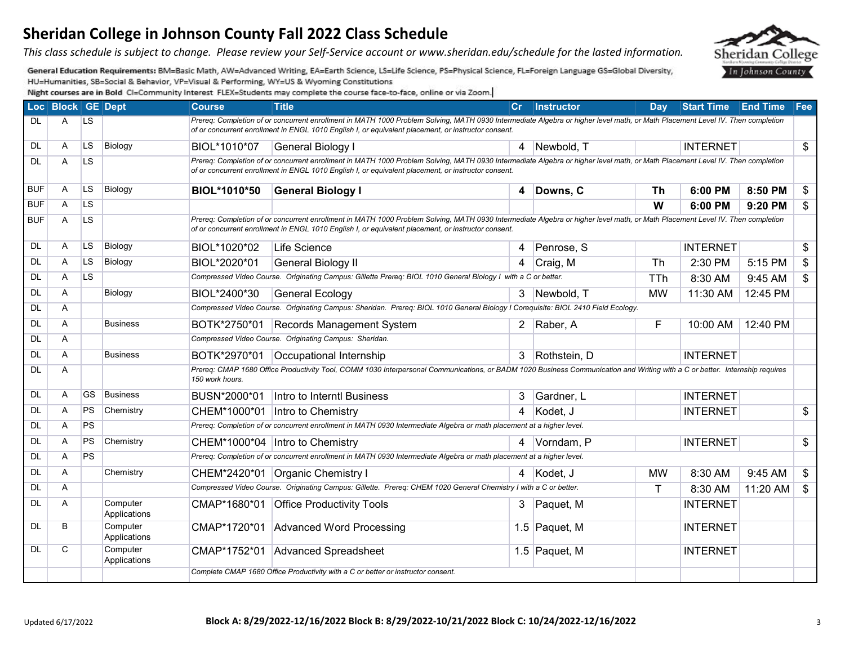*This class schedule is subject to change. Please review your Self-Service account or www.sheridan.edu/schedule for the lasted information.* 

General Education Requirements: BM=Basic Math, AW=Advanced Writing, EA=Earth Science, LS=Life Science, PS=Physical Science, FL=Foreign Language GS=Global Diversity, HU=Humanities, SB=Social & Behavior, VP=Visual & Performing, WY=US & Wyoming Constitutions

|            | Loc Block GE Dept |           |                          | <b>Course</b>   | <b>Title</b>                                                                                                                                                                                                                                                                         | $\mathsf{Cr}$  | <b>Instructor</b> | Day       | <b>Start Time End Time</b> |          | Fee                      |
|------------|-------------------|-----------|--------------------------|-----------------|--------------------------------------------------------------------------------------------------------------------------------------------------------------------------------------------------------------------------------------------------------------------------------------|----------------|-------------------|-----------|----------------------------|----------|--------------------------|
| <b>DL</b>  | A                 | LS.       |                          |                 | Prereq: Completion of or concurrent enrollment in MATH 1000 Problem Solving, MATH 0930 Intermediate Algebra or higher level math, or Math Placement Level IV. Then completion<br>of or concurrent enrollment in ENGL 1010 English I, or equivalent placement, or instructor consent. |                |                   |           |                            |          |                          |
| DL         | A                 | <b>LS</b> | Biology                  | BIOL*1010*07    | <b>General Biology I</b>                                                                                                                                                                                                                                                             | $\overline{4}$ | Newbold, T        |           | <b>INTERNET</b>            |          | $\overline{\mathcal{S}}$ |
| <b>DL</b>  | Α                 | LS        |                          |                 | Prereq: Completion of or concurrent enrollment in MATH 1000 Problem Solving, MATH 0930 Intermediate Algebra or higher level math, or Math Placement Level IV. Then completion<br>of or concurrent enrollment in ENGL 1010 English I, or equivalent placement, or instructor consent. |                |                   |           |                            |          |                          |
| <b>BUF</b> | A                 | LS.       | Biology                  | BIOL*1010*50    | <b>General Biology I</b>                                                                                                                                                                                                                                                             |                | 4 Downs, C        | <b>Th</b> | 6:00 PM                    | 8:50 PM  | \$                       |
| <b>BUF</b> | Α                 | LS        |                          |                 |                                                                                                                                                                                                                                                                                      |                |                   | W         | 6:00 PM                    | 9:20 PM  | \$                       |
| <b>BUF</b> | A                 | LS        |                          |                 | Prereq: Completion of or concurrent enrollment in MATH 1000 Problem Solving, MATH 0930 Intermediate Algebra or higher level math, or Math Placement Level IV. Then completion<br>of or concurrent enrollment in ENGL 1010 English I, or equivalent placement, or instructor consent. |                |                   |           |                            |          |                          |
| <b>DL</b>  | A                 | <b>LS</b> | Biology                  | BIOL*1020*02    | Life Science                                                                                                                                                                                                                                                                         | 4              | Penrose, S        |           | <b>INTERNET</b>            |          | \$                       |
| <b>DL</b>  | A                 | <b>LS</b> | Biology                  | BIOL*2020*01    | <b>General Biology II</b>                                                                                                                                                                                                                                                            | 4              | Craig, M          | <b>Th</b> | 2:30 PM                    | 5:15 PM  | \$                       |
| DL.        | A                 | <b>LS</b> |                          |                 | Compressed Video Course. Originating Campus: Gillette Prereq: BIOL 1010 General Biology I with a C or better.                                                                                                                                                                        |                |                   | TTh       | 8:30 AM                    | 9:45 AM  | $\mathfrak{S}$           |
| <b>DL</b>  | A                 |           | Biology                  | BIOL*2400*30    | <b>General Ecology</b>                                                                                                                                                                                                                                                               |                | 3 Newbold, T      | <b>MW</b> | 11:30 AM                   | 12:45 PM |                          |
| <b>DL</b>  | A                 |           |                          |                 | Compressed Video Course. Originating Campus: Sheridan. Prereg: BIOL 1010 General Biology I Coreguisite: BIOL 2410 Field Ecology.                                                                                                                                                     |                |                   |           |                            |          |                          |
| DL         | A                 |           | <b>Business</b>          | BOTK*2750*01    | Records Management System                                                                                                                                                                                                                                                            | 2              | Raber, A          | F         | 10:00 AM                   | 12:40 PM |                          |
| DL         | A                 |           |                          |                 | Compressed Video Course. Originating Campus: Sheridan.                                                                                                                                                                                                                               |                |                   |           |                            |          |                          |
| <b>DL</b>  | A                 |           | <b>Business</b>          | BOTK*2970*01    | Occupational Internship                                                                                                                                                                                                                                                              | 3 <sup>1</sup> | Rothstein, D      |           | <b>INTERNET</b>            |          |                          |
| <b>DL</b>  | Α                 |           |                          | 150 work hours. | Prereq: CMAP 1680 Office Productivity Tool, COMM 1030 Interpersonal Communications, or BADM 1020 Business Communication and Writing with a C or better. Internship requires                                                                                                          |                |                   |           |                            |          |                          |
| <b>DL</b>  | A                 | GS        | <b>Business</b>          | BUSN*2000*01    | Intro to Interntl Business                                                                                                                                                                                                                                                           | 3              | Gardner, L        |           | <b>INTERNET</b>            |          |                          |
| DL         | A                 | PS.       | Chemistry                |                 | CHEM*1000*01  Intro to Chemistry                                                                                                                                                                                                                                                     | $\overline{4}$ | Kodet. J          |           | <b>INTERNET</b>            |          | \$                       |
| DL.        | Α                 | <b>PS</b> |                          |                 | Prereq: Completion of or concurrent enrollment in MATH 0930 Intermediate Algebra or math placement at a higher level.                                                                                                                                                                |                |                   |           |                            |          |                          |
| <b>DL</b>  | A                 | <b>PS</b> | Chemistry                |                 | CHEM*1000*04  Intro to Chemistry                                                                                                                                                                                                                                                     | 4              | Vorndam, P        |           | <b>INTERNET</b>            |          | \$                       |
| <b>DL</b>  | Α                 | <b>PS</b> |                          |                 | Prereq: Completion of or concurrent enrollment in MATH 0930 Intermediate Algebra or math placement at a higher level.                                                                                                                                                                |                |                   |           |                            |          |                          |
| <b>DL</b>  | Α                 |           | Chemistry                |                 | CHEM*2420*01 Organic Chemistry I                                                                                                                                                                                                                                                     |                | 4 Kodet, J        | <b>MW</b> | 8:30 AM                    | 9:45 AM  | \$                       |
| <b>DL</b>  | Α                 |           |                          |                 | Compressed Video Course. Originating Campus: Gillette. Prereq: CHEM 1020 General Chemistry I with a C or better.                                                                                                                                                                     |                |                   | Τ         | 8:30 AM                    | 11:20 AM | \$                       |
| <b>DL</b>  | A                 |           | Computer<br>Applications |                 | CMAP*1680*01 Office Productivity Tools                                                                                                                                                                                                                                               | 3              | Paquet, M         |           | <b>INTERNET</b>            |          |                          |
| <b>DL</b>  | B                 |           | Computer<br>Applications | CMAP*1720*01    | Advanced Word Processing                                                                                                                                                                                                                                                             |                | 1.5 Paquet, M     |           | <b>INTERNET</b>            |          |                          |
| DL         | C                 |           | Computer<br>Applications |                 | CMAP*1752*01 Advanced Spreadsheet                                                                                                                                                                                                                                                    |                | 1.5 Paquet, M     |           | <b>INTERNET</b>            |          |                          |
|            |                   |           |                          |                 | Complete CMAP 1680 Office Productivity with a C or better or instructor consent.                                                                                                                                                                                                     |                |                   |           |                            |          |                          |

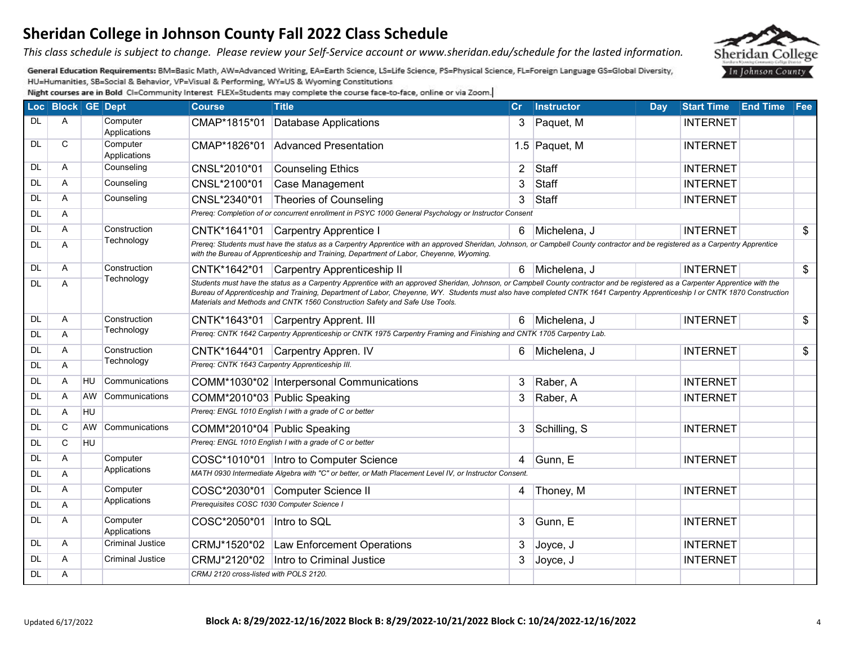*This class schedule is subject to change. Please review your Self-Service account or www.sheridan.edu/schedule for the lasted information.* 

General Education Requirements: BM=Basic Math, AW=Advanced Writing, EA=Earth Science, LS=Life Science, PS=Physical Science, FL=Foreign Language GS=Global Diversity, HU=Humanities, SB=Social & Behavior, VP=Visual & Performing, WY=US & Wyoming Constitutions

|           | Loc Block GE Dept |           |                          | <b>Course</b>                              | <b>Title</b>                                                                                                                                                                                                                                                                                                                                                                                                                                | cr             | <b>Instructor</b> | <b>Day</b> | <b>Start Time</b> | <b>End Time</b> | Fee            |
|-----------|-------------------|-----------|--------------------------|--------------------------------------------|---------------------------------------------------------------------------------------------------------------------------------------------------------------------------------------------------------------------------------------------------------------------------------------------------------------------------------------------------------------------------------------------------------------------------------------------|----------------|-------------------|------------|-------------------|-----------------|----------------|
| DL        | A                 |           | Computer<br>Applications | CMAP*1815*01                               | Database Applications                                                                                                                                                                                                                                                                                                                                                                                                                       | 3              | Paquet, M         |            | <b>INTERNET</b>   |                 |                |
| DL        | С                 |           | Computer<br>Applications | CMAP*1826*01                               | Advanced Presentation                                                                                                                                                                                                                                                                                                                                                                                                                       |                | $1.5$ Paquet, M   |            | <b>INTERNET</b>   |                 |                |
| DL        | A                 |           | Counseling               | CNSL*2010*01                               | Counseling Ethics                                                                                                                                                                                                                                                                                                                                                                                                                           | $\overline{2}$ | <b>Staff</b>      |            | <b>INTERNET</b>   |                 |                |
| <b>DL</b> | A                 |           | Counseling               | CNSL*2100*01                               | Case Management                                                                                                                                                                                                                                                                                                                                                                                                                             | 3              | <b>Staff</b>      |            | <b>INTERNET</b>   |                 |                |
| <b>DL</b> | Α                 |           | Counseling               | CNSL*2340*01                               | Theories of Counseling                                                                                                                                                                                                                                                                                                                                                                                                                      | 3              | Staff             |            | <b>INTERNET</b>   |                 |                |
| DL        | Α                 |           |                          |                                            | Prereq: Completion of or concurrent enrollment in PSYC 1000 General Psychology or Instructor Consent                                                                                                                                                                                                                                                                                                                                        |                |                   |            |                   |                 |                |
| <b>DL</b> | A                 |           | Construction             | CNTK*1641*01                               | Carpentry Apprentice I                                                                                                                                                                                                                                                                                                                                                                                                                      | 6.             | Michelena, J      |            | <b>INTERNET</b>   |                 | $\mathfrak{S}$ |
| <b>DL</b> | A                 |           | Technology               |                                            | Prereq: Students must have the status as a Carpentry Apprentice with an approved Sheridan, Johnson, or Campbell County contractor and be registered as a Carpentry Apprentice<br>with the Bureau of Apprenticeship and Training, Department of Labor, Cheyenne, Wyoming.                                                                                                                                                                    |                |                   |            |                   |                 |                |
| <b>DL</b> | A                 |           | Construction             | CNTK*1642*01                               | Carpentry Apprenticeship II                                                                                                                                                                                                                                                                                                                                                                                                                 |                | 6 Michelena, J    |            | <b>INTERNET</b>   |                 | \$             |
| <b>DL</b> | A                 |           | Technology               |                                            | Students must have the status as a Carpentry Apprentice with an approved Sheridan, Johnson, or Campbell County contractor and be registered as a Carpenter Apprentice with the<br>Bureau of Apprenticeship and Training, Department of Labor, Cheyenne, WY. Students must also have completed CNTK 1641 Carpentry Apprenticeship I or CNTK 1870 Construction<br>Materials and Methods and CNTK 1560 Construction Safety and Safe Use Tools. |                |                   |            |                   |                 |                |
| <b>DL</b> | A                 |           | Construction             |                                            | CNTK*1643*01 Carpentry Apprent. III                                                                                                                                                                                                                                                                                                                                                                                                         |                | 6 Michelena, J    |            | <b>INTERNET</b>   |                 | \$             |
| <b>DL</b> | A                 |           | Technology               |                                            | Prereq: CNTK 1642 Carpentry Apprenticeship or CNTK 1975 Carpentry Framing and Finishing and CNTK 1705 Carpentry Lab.                                                                                                                                                                                                                                                                                                                        |                |                   |            |                   |                 |                |
| <b>DL</b> | Α                 |           | Construction             |                                            | CNTK*1644*01 Carpentry Appren. IV                                                                                                                                                                                                                                                                                                                                                                                                           |                | 6 Michelena, J    |            | <b>INTERNET</b>   |                 | \$             |
| DL        | A                 |           | Technology               |                                            | Prereq: CNTK 1643 Carpentry Apprenticeship III.                                                                                                                                                                                                                                                                                                                                                                                             |                |                   |            |                   |                 |                |
| <b>DL</b> | Α                 | HU        | Communications           |                                            | COMM*1030*02 Interpersonal Communications                                                                                                                                                                                                                                                                                                                                                                                                   | 3              | Raber, A          |            | <b>INTERNET</b>   |                 |                |
| <b>DL</b> | Α                 | <b>AW</b> | Communications           | COMM*2010*03 Public Speaking               |                                                                                                                                                                                                                                                                                                                                                                                                                                             | 3              | Raber, A          |            | <b>INTERNET</b>   |                 |                |
| <b>DL</b> | A                 | HU        |                          |                                            | Prereq: ENGL 1010 English I with a grade of C or better                                                                                                                                                                                                                                                                                                                                                                                     |                |                   |            |                   |                 |                |
| <b>DL</b> | C                 | <b>AW</b> | Communications           | COMM*2010*04 Public Speaking               |                                                                                                                                                                                                                                                                                                                                                                                                                                             | 3 <sup>1</sup> | Schilling, S      |            | <b>INTERNET</b>   |                 |                |
| <b>DL</b> | C                 | <b>HU</b> |                          |                                            | Prereq: ENGL 1010 English I with a grade of C or better                                                                                                                                                                                                                                                                                                                                                                                     |                |                   |            |                   |                 |                |
| <b>DL</b> | A                 |           | Computer                 |                                            | COSC*1010*01  Intro to Computer Science                                                                                                                                                                                                                                                                                                                                                                                                     | $\overline{4}$ | Gunn, E           |            | <b>INTERNET</b>   |                 |                |
| <b>DL</b> | A                 |           | Applications             |                                            | MATH 0930 Intermediate Algebra with "C" or better, or Math Placement Level IV, or Instructor Consent.                                                                                                                                                                                                                                                                                                                                       |                |                   |            |                   |                 |                |
| <b>DL</b> | Α                 |           | Computer                 |                                            | COSC*2030*01 Computer Science II                                                                                                                                                                                                                                                                                                                                                                                                            | 4              | Thoney, M         |            | <b>INTERNET</b>   |                 |                |
| <b>DL</b> | Α                 |           | Applications             | Prerequisites COSC 1030 Computer Science I |                                                                                                                                                                                                                                                                                                                                                                                                                                             |                |                   |            |                   |                 |                |
| <b>DL</b> | A                 |           | Computer<br>Applications | COSC*2050*01   Intro to SQL                |                                                                                                                                                                                                                                                                                                                                                                                                                                             | 3              | Gunn, E           |            | <b>INTERNET</b>   |                 |                |
| DL        | A                 |           | Criminal Justice         |                                            | CRMJ*1520*02   Law Enforcement Operations                                                                                                                                                                                                                                                                                                                                                                                                   | 3              | Joyce, J          |            | <b>INTERNET</b>   |                 |                |
| DL        | A                 |           | <b>Criminal Justice</b>  | CRMJ*2120*02                               | Intro to Criminal Justice                                                                                                                                                                                                                                                                                                                                                                                                                   | $\mathbf{3}$   | Joyce, J          |            | <b>INTERNET</b>   |                 |                |
| DL        | Α                 |           |                          | CRMJ 2120 cross-listed with POLS 2120.     |                                                                                                                                                                                                                                                                                                                                                                                                                                             |                |                   |            |                   |                 |                |

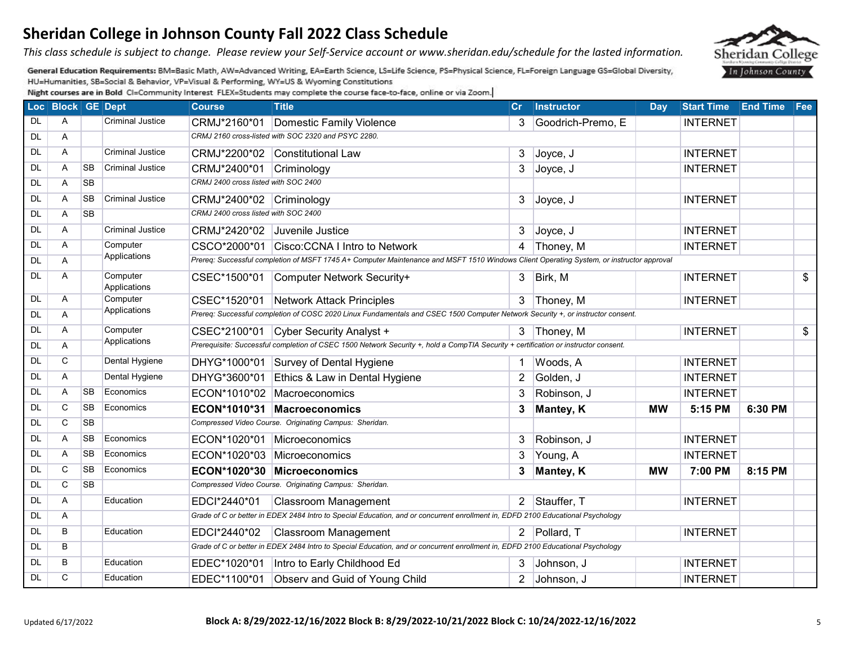#### Updated 6/17/2022 **Block A: 8/29/2022-12/16/2022 Block B: 8/29/2022-10/21/2022 Block C: 10/24/2022-12/16/2022** 5

| Sheridan College in Johnson County Fall 2022 Class Schedule                                                                                |
|--------------------------------------------------------------------------------------------------------------------------------------------|
| This class schedule is subject to change. Please review your Self-Service account or www.sheridan.edu/schedule for the lasted information. |

General Education Requirements: BM=Basic Math, AW=Advanced Writing, EA=Earth Science, LS=Life Science, PS=Physical Science, FL=Foreign Language GS=Global Diversity, HU=Humanities, SB=Social & Behavior, VP=Visual & Performing, WY=US & Wyoming Constitutions

|           | Loc Block GE Dept |           |                          | <b>Course</b>                        | <b>Title</b>                                                                                                                             | cr             | <b>Instructor</b> | Day       | Start Time End Time Fee |         |                 |
|-----------|-------------------|-----------|--------------------------|--------------------------------------|------------------------------------------------------------------------------------------------------------------------------------------|----------------|-------------------|-----------|-------------------------|---------|-----------------|
| DL        | A                 |           | Criminal Justice         | CRMJ*2160*01                         | Domestic Family Violence                                                                                                                 | 3              | Goodrich-Premo, E |           | <b>INTERNET</b>         |         |                 |
| <b>DL</b> | Α                 |           |                          |                                      | CRMJ 2160 cross-listed with SOC 2320 and PSYC 2280.                                                                                      |                |                   |           |                         |         |                 |
| <b>DL</b> | A                 |           | Criminal Justice         |                                      | CRMJ*2200*02 Constitutional Law                                                                                                          | 3              | Joyce, J          |           | <b>INTERNET</b>         |         |                 |
| <b>DL</b> | A                 | <b>SB</b> | Criminal Justice         | CRMJ*2400*01                         | Criminology                                                                                                                              | 3              | Joyce, J          |           | <b>INTERNET</b>         |         |                 |
| <b>DL</b> | A                 | <b>SB</b> |                          | CRMJ 2400 cross listed with SOC 2400 |                                                                                                                                          |                |                   |           |                         |         |                 |
| <b>DL</b> | A                 | <b>SB</b> | <b>Criminal Justice</b>  | CRMJ*2400*02 Criminology             |                                                                                                                                          | 3 <sup>1</sup> | Joyce, J          |           | <b>INTERNET</b>         |         |                 |
| <b>DL</b> | A                 | <b>SB</b> |                          | CRMJ 2400 cross listed with SOC 2400 |                                                                                                                                          |                |                   |           |                         |         |                 |
| <b>DL</b> | A                 |           | Criminal Justice         | CRMJ*2420*02                         | Juvenile Justice                                                                                                                         | 3              | Joyce, J          |           | <b>INTERNET</b>         |         |                 |
| <b>DL</b> | A                 |           | Computer                 |                                      | CSCO*2000*01 Cisco:CCNA I Intro to Network                                                                                               |                | 4 Thoney, M       |           | <b>INTERNET</b>         |         |                 |
| <b>DL</b> | Α                 |           | Applications             |                                      | Prereq: Successful completion of MSFT 1745 A+ Computer Maintenance and MSFT 1510 Windows Client Operating System, or instructor approval |                |                   |           |                         |         |                 |
| <b>DL</b> | A                 |           | Computer<br>Applications | CSEC*1500*01                         | Computer Network Security+                                                                                                               |                | $3$ Birk, M       |           | <b>INTERNET</b>         |         | $\mathfrak{L}$  |
| DL        | Α                 |           | Computer                 |                                      | CSEC*1520*01 Network Attack Principles                                                                                                   |                | 3 Thoney, M       |           | <b>INTERNET</b>         |         |                 |
| <b>DL</b> | A                 |           | Applications             |                                      | Prereq: Successful completion of COSC 2020 Linux Fundamentals and CSEC 1500 Computer Network Security +, or instructor consent.          |                |                   |           |                         |         |                 |
| <b>DL</b> | A                 |           | Computer                 | CSEC*2100*01                         | Cyber Security Analyst +                                                                                                                 |                | 3 Thoney, M       |           | <b>INTERNET</b>         |         | $\overline{\$}$ |
| <b>DL</b> | A                 |           | Applications             |                                      | Prerequisite: Successful completion of CSEC 1500 Network Security +, hold a CompTIA Security + certification or instructor consent.      |                |                   |           |                         |         |                 |
| <b>DL</b> | C                 |           | Dental Hygiene           |                                      | DHYG*1000*01 Survey of Dental Hygiene                                                                                                    | $\mathbf 1$    | Woods, A          |           | <b>INTERNET</b>         |         |                 |
| <b>DL</b> | A                 |           | Dental Hygiene           |                                      | DHYG*3600*01 Ethics & Law in Dental Hygiene                                                                                              | $\overline{2}$ | Golden, J         |           | <b>INTERNET</b>         |         |                 |
| <b>DL</b> | A                 | <b>SB</b> | Economics                | ECON*1010*02                         | Macroeconomics                                                                                                                           | 3              | Robinson, J       |           | <b>INTERNET</b>         |         |                 |
| DL        | C                 | <b>SB</b> | Economics                |                                      | ECON*1010*31 Macroeconomics                                                                                                              | 3              | <b>Mantey, K</b>  | <b>MW</b> | 5:15 PM                 | 6:30 PM |                 |
| <b>DL</b> | C                 | <b>SB</b> |                          |                                      | Compressed Video Course. Originating Campus: Sheridan.                                                                                   |                |                   |           |                         |         |                 |
| DL        | A                 | <b>SB</b> | Economics                | ECON*1020*01                         | Microeconomics                                                                                                                           | 3              | Robinson, J       |           | <b>INTERNET</b>         |         |                 |
| <b>DL</b> | A                 | <b>SB</b> | Economics                | ECON*1020*03                         | Microeconomics                                                                                                                           | 3              | Young, A          |           | <b>INTERNET</b>         |         |                 |
| <b>DL</b> | C                 | <b>SB</b> | Economics                | ECON*1020*30                         | <b>Microeconomics</b>                                                                                                                    | $3^{\circ}$    | <b>Mantey, K</b>  | <b>MW</b> | 7:00 PM                 | 8:15 PM |                 |
| <b>DL</b> | C                 | <b>SB</b> |                          |                                      | Compressed Video Course. Originating Campus: Sheridan.                                                                                   |                |                   |           |                         |         |                 |
| <b>DL</b> | A                 |           | Education                | EDCI*2440*01                         | <b>Classroom Management</b>                                                                                                              |                | 2 Stauffer, T     |           | <b>INTERNET</b>         |         |                 |
| <b>DL</b> | A                 |           |                          |                                      | Grade of C or better in EDEX 2484 Intro to Special Education, and or concurrent enrollment in, EDFD 2100 Educational Psychology          |                |                   |           |                         |         |                 |
| <b>DL</b> | B                 |           | Education                | EDCI*2440*02                         | <b>Classroom Management</b>                                                                                                              |                | 2 Pollard, T      |           | <b>INTERNET</b>         |         |                 |
| <b>DL</b> | B                 |           |                          |                                      | Grade of C or better in EDEX 2484 Intro to Special Education, and or concurrent enrollment in, EDFD 2100 Educational Psychology          |                |                   |           |                         |         |                 |
| DL        | B                 |           | Education                | EDEC*1020*01                         | Intro to Early Childhood Ed                                                                                                              | 3              | Johnson, J        |           | <b>INTERNET</b>         |         |                 |
| <b>DL</b> | C                 |           | Education                |                                      | EDEC*1100*01 Observ and Guid of Young Child                                                                                              | $\overline{2}$ | Johnson, J        |           | <b>INTERNET</b>         |         |                 |

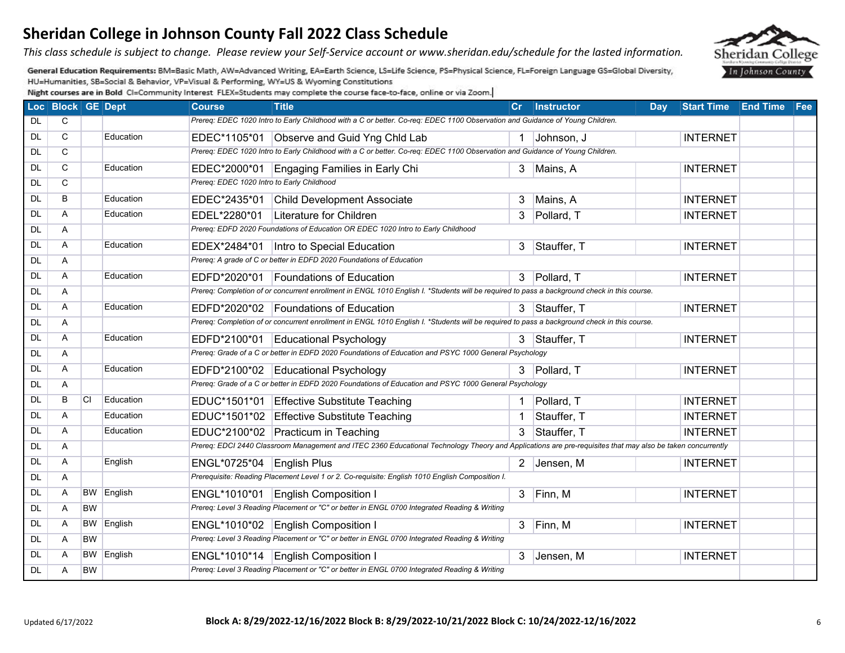*This class schedule is subject to change. Please review your Self-Service account or www.sheridan.edu/schedule for the lasted information.* 

General Education Requirements: BM=Basic Math, AW=Advanced Writing, EA=Earth Science, LS=Life Science, PS=Physical Science, FL=Foreign Language GS=Global Diversity, HU=Humanities, SB=Social & Behavior, VP=Visual & Performing, WY=US & Wyoming Constitutions

|           | Loc Block GE Dept |           |                   | <b>Course</b>                              | <b>Title</b>                                                                                                                                               |              | Cr Instructor | <b>Day</b> | Start Time End Time Fee |  |
|-----------|-------------------|-----------|-------------------|--------------------------------------------|------------------------------------------------------------------------------------------------------------------------------------------------------------|--------------|---------------|------------|-------------------------|--|
| DL        | C.                |           |                   |                                            | Prereq: EDEC 1020 Intro to Early Childhood with a C or better. Co-req: EDEC 1100 Observation and Guidance of Young Children.                               |              |               |            |                         |  |
| DL.       | $\mathsf{C}$      |           | Education         |                                            | EDEC*1105*01 Observe and Guid Yng Chld Lab                                                                                                                 |              | 1 Johnson, J  |            | <b>INTERNET</b>         |  |
| <b>DL</b> | C                 |           |                   |                                            | Prereq: EDEC 1020 Intro to Early Childhood with a C or better. Co-req: EDEC 1100 Observation and Guidance of Young Children.                               |              |               |            |                         |  |
| <b>DL</b> | $\mathsf{C}$      |           | Education         | EDEC*2000*01                               | Engaging Families in Early Chi                                                                                                                             | $\mathbf{3}$ | Mains, A      |            | <b>INTERNET</b>         |  |
| <b>DL</b> | $\mathsf{C}$      |           |                   | Prereq: EDEC 1020 Intro to Early Childhood |                                                                                                                                                            |              |               |            |                         |  |
| <b>DL</b> | B                 |           | Education         |                                            | EDEC*2435*01 Child Development Associate                                                                                                                   | 3            | Mains, A      |            | <b>INTERNET</b>         |  |
| <b>DL</b> | A                 |           | Education         | EDEL*2280*01                               | Literature for Children                                                                                                                                    |              | 3 Pollard, T  |            | <b>INTERNET</b>         |  |
| DL        | A                 |           |                   |                                            | Prereq: EDFD 2020 Foundations of Education OR EDEC 1020 Intro to Early Childhood                                                                           |              |               |            |                         |  |
| <b>DL</b> | A                 |           | Education         | EDEX*2484*01                               | Intro to Special Education                                                                                                                                 |              | 3 Stauffer, T |            | <b>INTERNET</b>         |  |
| DL        | A                 |           |                   |                                            | Prereq: A grade of C or better in EDFD 2020 Foundations of Education                                                                                       |              |               |            |                         |  |
| <b>DL</b> | A                 |           | Education         | EDFD*2020*01                               | Foundations of Education                                                                                                                                   |              | 3 Pollard, T  |            | <b>INTERNET</b>         |  |
| <b>DL</b> | Α                 |           |                   |                                            | Prereq: Completion of or concurrent enrollment in ENGL 1010 English I. *Students will be required to pass a background check in this course.               |              |               |            |                         |  |
| <b>DL</b> | A                 |           | Education         |                                            | EDFD*2020*02 Foundations of Education                                                                                                                      |              | 3 Stauffer, T |            | <b>INTERNET</b>         |  |
| <b>DL</b> | A                 |           |                   |                                            | Prereq: Completion of or concurrent enrollment in ENGL 1010 English I. *Students will be required to pass a background check in this course.               |              |               |            |                         |  |
| DL        | A                 |           | Education         | EDFD*2100*01                               | Educational Psychology                                                                                                                                     |              | 3 Stauffer, T |            | <b>INTERNET</b>         |  |
| <b>DL</b> | A                 |           |                   |                                            | Prereq: Grade of a C or better in EDFD 2020 Foundations of Education and PSYC 1000 General Psychology                                                      |              |               |            |                         |  |
| <b>DL</b> | A                 |           | Education         |                                            | EDFD*2100*02 Educational Psychology                                                                                                                        |              | 3 Pollard, T  |            | <b>INTERNET</b>         |  |
| <b>DL</b> | A                 |           |                   |                                            | Prereq: Grade of a C or better in EDFD 2020 Foundations of Education and PSYC 1000 General Psychology                                                      |              |               |            |                         |  |
| DL        | B                 | <b>CI</b> | Education         |                                            | EDUC*1501*01 Effective Substitute Teaching                                                                                                                 |              | Pollard, T    |            | <b>INTERNET</b>         |  |
| DL        | A                 |           | Education         |                                            | EDUC*1501*02 Effective Substitute Teaching                                                                                                                 |              | Stauffer, T   |            | <b>INTERNET</b>         |  |
| <b>DL</b> | A                 |           | Education         |                                            | EDUC*2100*02 Practicum in Teaching                                                                                                                         | 3            | Stauffer, T   |            | <b>INTERNET</b>         |  |
| <b>DL</b> | Α                 |           |                   |                                            | Prereq: EDCI 2440 Classroom Management and ITEC 2360 Educational Technology Theory and Applications are pre-requisites that may also be taken concurrently |              |               |            |                         |  |
| <b>DL</b> | A                 |           | English           | ENGL*0725*04 English Plus                  |                                                                                                                                                            |              | 2 Jensen, M   |            | <b>INTERNET</b>         |  |
| <b>DL</b> | A                 |           |                   |                                            | Prerequisite: Reading Placement Level 1 or 2. Co-requisite: English 1010 English Composition I.                                                            |              |               |            |                         |  |
| DL        | A                 |           | BW English        | ENGL*1010*01                               | <b>English Composition I</b>                                                                                                                               |              | $3$ Finn, M   |            | <b>INTERNET</b>         |  |
| <b>DL</b> | A                 | <b>BW</b> |                   |                                            | Prereq: Level 3 Reading Placement or "C" or better in ENGL 0700 Integrated Reading & Writing                                                               |              |               |            |                         |  |
| <b>DL</b> | A                 | <b>BW</b> | English           |                                            | ENGL*1010*02 English Composition I                                                                                                                         |              | $3$ Finn, M   |            | <b>INTERNET</b>         |  |
| <b>DL</b> | A                 | <b>BW</b> |                   |                                            | Prereq: Level 3 Reading Placement or "C" or better in ENGL 0700 Integrated Reading & Writing                                                               |              |               |            |                         |  |
| <b>DL</b> | A                 |           | <b>BW</b> English |                                            | ENGL*1010*14   English Composition I                                                                                                                       |              | 3 Jensen, M   |            | <b>INTERNET</b>         |  |
| <b>DL</b> | A                 | <b>BW</b> |                   |                                            | Prereq: Level 3 Reading Placement or "C" or better in ENGL 0700 Integrated Reading & Writing                                                               |              |               |            |                         |  |

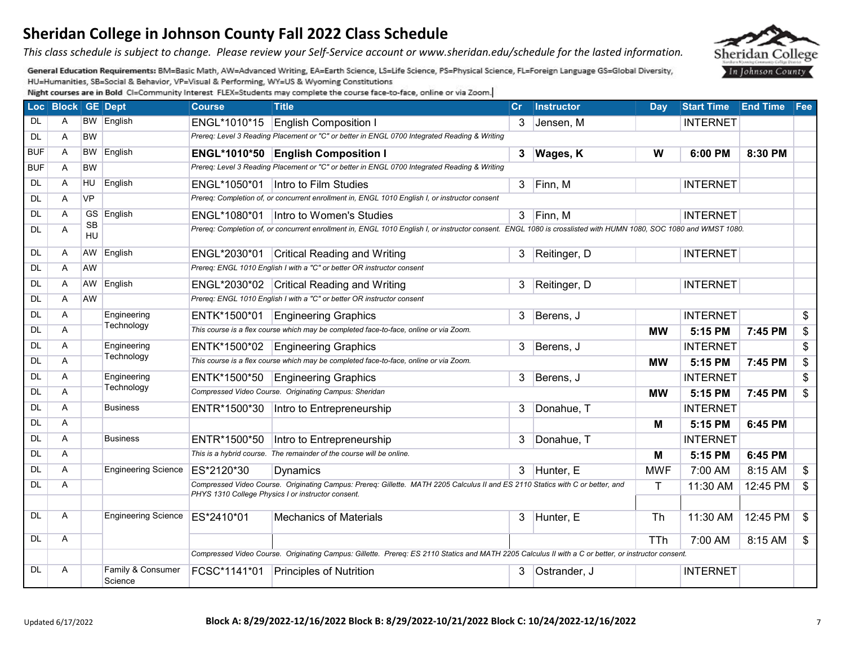*This class schedule is subject to change. Please review your Self-Service account or www.sheridan.edu/schedule for the lasted information.* 

General Education Requirements: BM=Basic Math, AW=Advanced Writing, EA=Earth Science, LS=Life Science, PS=Physical Science, FL=Foreign Language GS=Global Diversity, HU=Humanities, SB=Social & Behavior, VP=Visual & Performing, WY=US & Wyoming Constitutions

|            | Loc Block GE Dept |           |                              | <b>Course</b> | <b>Title</b>                                                                                                                                                                         | Cr. | <b>Instructor</b> | Day          | <b>Start Time End Time Fee</b> |          |                |
|------------|-------------------|-----------|------------------------------|---------------|--------------------------------------------------------------------------------------------------------------------------------------------------------------------------------------|-----|-------------------|--------------|--------------------------------|----------|----------------|
| DL         | A                 |           | <b>BW</b> English            | ENGL*1010*15  | <b>English Composition I</b>                                                                                                                                                         | 3   | Jensen, M         |              | <b>INTERNET</b>                |          |                |
| <b>DL</b>  | A                 | <b>BW</b> |                              |               | Prereq: Level 3 Reading Placement or "C" or better in ENGL 0700 Integrated Reading & Writing                                                                                         |     |                   |              |                                |          |                |
| <b>BUF</b> | A                 | BW.       | English                      |               | ENGL*1010*50 English Composition I                                                                                                                                                   |     | 3 Wages, K        | W            | 6:00 PM                        | 8:30 PM  |                |
| <b>BUF</b> | A                 | <b>BW</b> |                              |               | Prereq: Level 3 Reading Placement or "C" or better in ENGL 0700 Integrated Reading & Writing                                                                                         |     |                   |              |                                |          |                |
| <b>DL</b>  | A                 | <b>HU</b> | English                      |               | ENGL*1050*01   Intro to Film Studies                                                                                                                                                 |     | $3$ Finn, M       |              | <b>INTERNET</b>                |          |                |
| <b>DL</b>  | A                 | <b>VP</b> |                              |               | Prereq: Completion of, or concurrent enrollment in, ENGL 1010 English I, or instructor consent                                                                                       |     |                   |              |                                |          |                |
| <b>DL</b>  | A                 |           | GS English                   | ENGL*1080*01  | Intro to Women's Studies                                                                                                                                                             |     | $3$ Finn, M       |              | <b>INTERNET</b>                |          |                |
| <b>DL</b>  | A                 | SB<br>HU  |                              |               | Prereq: Completion of, or concurrent enrollment in, ENGL 1010 English I, or instructor consent. ENGL 1080 is crosslisted with HUMN 1080, SOC 1080 and WMST 1080.                     |     |                   |              |                                |          |                |
| <b>DL</b>  | A                 | AW        | English                      |               | ENGL*2030*01 Critical Reading and Writing                                                                                                                                            | 3   | Reitinger, D      |              | <b>INTERNET</b>                |          |                |
| DL         | A                 | AW        |                              |               | Prereq: ENGL 1010 English I with a "C" or better OR instructor consent                                                                                                               |     |                   |              |                                |          |                |
| DL         | Α                 | AW        | English                      |               | ENGL*2030*02 Critical Reading and Writing                                                                                                                                            | 3   | Reitinger, D      |              | <b>INTERNET</b>                |          |                |
| <b>DL</b>  | A                 | <b>AW</b> |                              |               | Prereq: ENGL 1010 English I with a "C" or better OR instructor consent                                                                                                               |     |                   |              |                                |          |                |
| <b>DL</b>  | A                 |           | Engineering                  |               | ENTK*1500*01 Engineering Graphics                                                                                                                                                    | 3   | Berens, J         |              | <b>INTERNET</b>                |          | \$             |
| DL         | A                 |           | Technology                   |               | This course is a flex course which may be completed face-to-face, online or via Zoom.                                                                                                |     |                   | <b>MW</b>    | 5:15 PM                        | 7:45 PM  | \$             |
| <b>DL</b>  | A                 |           | Engineering                  |               | ENTK*1500*02 Engineering Graphics                                                                                                                                                    | 3   | Berens, J         |              | <b>INTERNET</b>                |          | \$             |
| DL         | A                 |           | Technology                   |               | This course is a flex course which may be completed face-to-face, online or via Zoom.                                                                                                |     |                   | <b>MW</b>    | 5:15 PM                        | 7:45 PM  | \$             |
| <b>DL</b>  | A                 |           | Engineering                  | ENTK*1500*50  | <b>Engineering Graphics</b>                                                                                                                                                          | 3   | Berens, J         |              | <b>INTERNET</b>                |          | \$             |
| <b>DL</b>  | A                 |           | Technology                   |               | Compressed Video Course. Originating Campus: Sheridan                                                                                                                                |     |                   | <b>MW</b>    | 5:15 PM                        | 7:45 PM  | \$             |
| <b>DL</b>  | A                 |           | <b>Business</b>              | ENTR*1500*30  | Intro to Entrepreneurship                                                                                                                                                            | 3   | Donahue, T        |              | <b>INTERNET</b>                |          |                |
| <b>DL</b>  | A                 |           |                              |               |                                                                                                                                                                                      |     |                   | Μ            | 5:15 PM                        | 6:45 PM  |                |
| <b>DL</b>  | A                 |           | <b>Business</b>              | ENTR*1500*50  | Intro to Entrepreneurship                                                                                                                                                            | 3   | Donahue, T        |              | <b>INTERNET</b>                |          |                |
| <b>DL</b>  | A                 |           |                              |               | This is a hybrid course. The remainder of the course will be online.                                                                                                                 |     |                   | М            | 5:15 PM                        | 6:45 PM  |                |
| <b>DL</b>  | A                 |           | <b>Engineering Science</b>   | ES*2120*30    | Dynamics                                                                                                                                                                             | 3   | Hunter, E         | <b>MWF</b>   | 7:00 AM                        | 8:15 AM  | \$             |
| <b>DL</b>  | A                 |           |                              |               | Compressed Video Course. Originating Campus: Prereq: Gillette. MATH 2205 Calculus II and ES 2110 Statics with C or better, and<br>PHYS 1310 College Physics I or instructor consent. |     |                   | $\mathsf{T}$ | 11:30 AM                       | 12:45 PM | $\mathfrak{P}$ |
|            |                   |           |                              |               |                                                                                                                                                                                      |     |                   |              |                                |          |                |
| <b>DL</b>  | A                 |           | <b>Engineering Science</b>   | ES*2410*01    | <b>Mechanics of Materials</b>                                                                                                                                                        | 3   | Hunter, E         | Th           | 11:30 AM                       | 12:45 PM | $\sqrt[6]{3}$  |
| DL         | A                 |           |                              |               |                                                                                                                                                                                      |     |                   | <b>TTh</b>   | 7:00 AM                        | 8:15 AM  | \$             |
|            |                   |           |                              |               | Compressed Video Course. Originating Campus: Gillette. Prereq: ES 2110 Statics and MATH 2205 Calculus II with a C or better, or instructor consent.                                  |     |                   |              |                                |          |                |
| DL         | A                 |           | Family & Consumer<br>Science |               | FCSC*1141*01 Principles of Nutrition                                                                                                                                                 | 3   | Ostrander, J      |              | <b>INTERNET</b>                |          |                |

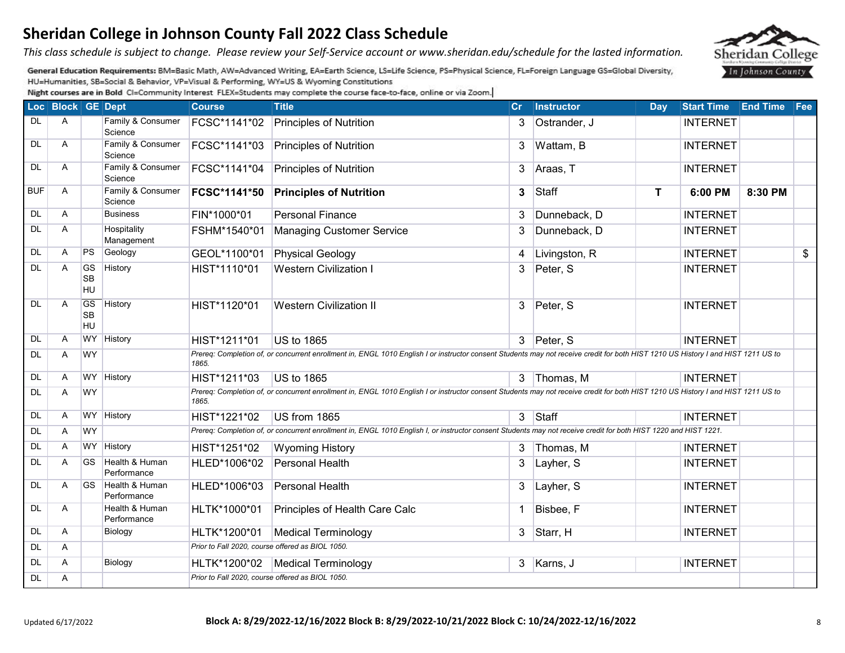*This class schedule is subject to change. Please review your Self-Service account or www.sheridan.edu/schedule for the lasted information.* 

General Education Requirements: BM=Basic Math, AW=Advanced Writing, EA=Earth Science, LS=Life Science, PS=Physical Science, FL=Foreign Language GS=Global Diversity, HU=Humanities, SB=Social & Behavior, VP=Visual & Performing, WY=US & Wyoming Constitutions

|            | Loc Block GE Dept |                                     |                               | <b>Course</b>                                    | <b>Title</b>                                                                                                                                                                      | Cr | <b>Instructor</b> | Day | Start Time End Time Fee |         |               |
|------------|-------------------|-------------------------------------|-------------------------------|--------------------------------------------------|-----------------------------------------------------------------------------------------------------------------------------------------------------------------------------------|----|-------------------|-----|-------------------------|---------|---------------|
| <b>DL</b>  | A                 |                                     | Family & Consumer<br>Science  | FCSC*1141*02                                     | Principles of Nutrition                                                                                                                                                           | 3  | Ostrander, J      |     | <b>INTERNET</b>         |         |               |
| <b>DL</b>  | A                 |                                     | Family & Consumer<br>Science  | FCSC*1141*03                                     | <b>Principles of Nutrition</b>                                                                                                                                                    | 3  | Wattam, B         |     | <b>INTERNET</b>         |         |               |
| <b>DL</b>  | A                 |                                     | Family & Consumer<br>Science  | FCSC*1141*04                                     | Principles of Nutrition                                                                                                                                                           | 3  | Araas, T          |     | <b>INTERNET</b>         |         |               |
| <b>BUF</b> | A                 |                                     | Family & Consumer<br>Science  | FCSC*1141*50                                     | <b>Principles of Nutrition</b>                                                                                                                                                    | 3  | Staff             | T   | 6:00 PM                 | 8:30 PM |               |
| <b>DL</b>  | A                 |                                     | <b>Business</b>               | FIN*1000*01                                      | <b>Personal Finance</b>                                                                                                                                                           | 3  | Dunneback, D      |     | <b>INTERNET</b>         |         |               |
| <b>DL</b>  | A                 |                                     | Hospitality<br>Management     | FSHM*1540*01                                     | <b>Managing Customer Service</b>                                                                                                                                                  | 3  | Dunneback, D      |     | <b>INTERNET</b>         |         |               |
| <b>DL</b>  | A                 | PS                                  | Geology                       | GEOL*1100*01                                     | <b>Physical Geology</b>                                                                                                                                                           | 4  | Livingston, R     |     | <b>INTERNET</b>         |         | $\frac{1}{2}$ |
| <b>DL</b>  | A                 | <b>GS</b><br><b>SB</b><br><b>HU</b> | History                       | HIST*1110*01                                     | <b>Western Civilization I</b>                                                                                                                                                     | 3  | Peter, S          |     | <b>INTERNET</b>         |         |               |
| <b>DL</b>  | A                 | <b>GS</b><br><b>SB</b><br><b>HU</b> | History                       | HIST*1120*01                                     | <b>Western Civilization II</b>                                                                                                                                                    | 3  | Peter, S          |     | <b>INTERNET</b>         |         |               |
| <b>DL</b>  | A                 | <b>WY</b>                           | History                       | HIST*1211*01                                     | US to 1865                                                                                                                                                                        |    | 3 Peter, S        |     | <b>INTERNET</b>         |         |               |
| <b>DL</b>  | A                 | <b>WY</b>                           |                               | 1865.                                            | Prereq: Completion of, or concurrent enrollment in, ENGL 1010 English I or instructor consent Students may not receive credit for both HIST 1210 US History I and HIST 1211 US to |    |                   |     |                         |         |               |
| <b>DL</b>  | A                 |                                     | WY History                    | HIST*1211*03                                     | US to 1865                                                                                                                                                                        | 3  | Thomas, M         |     | <b>INTERNET</b>         |         |               |
| <b>DL</b>  | A                 | <b>WY</b>                           |                               | 1865.                                            | Prereq: Completion of, or concurrent enrollment in, ENGL 1010 English I or instructor consent Students may not receive credit for both HIST 1210 US History I and HIST 1211 US to |    |                   |     |                         |         |               |
| <b>DL</b>  | A                 |                                     | WY History                    | HIST*1221*02                                     | US from 1865                                                                                                                                                                      |    | $3$ Staff         |     | <b>INTERNET</b>         |         |               |
| <b>DL</b>  | A                 | <b>WY</b>                           |                               |                                                  | Prereq: Completion of, or concurrent enrollment in, ENGL 1010 English I, or instructor consent Students may not receive credit for both HIST 1220 and HIST 1221.                  |    |                   |     |                         |         |               |
| <b>DL</b>  | A                 |                                     | WY History                    | HIST*1251*02                                     | <b>Wyoming History</b>                                                                                                                                                            | 3  | Thomas, M         |     | <b>INTERNET</b>         |         |               |
| DL         | A                 | GS.                                 | Health & Human<br>Performance | HLED*1006*02                                     | Personal Health                                                                                                                                                                   | 3  | Layher, S         |     | <b>INTERNET</b>         |         |               |
| DL         | A                 | <b>GS</b>                           | Health & Human<br>Performance | HLED*1006*03                                     | Personal Health                                                                                                                                                                   | 3  | Layher, S         |     | <b>INTERNET</b>         |         |               |
| DL         | A                 |                                     | Health & Human<br>Performance | HLTK*1000*01                                     | Principles of Health Care Calc                                                                                                                                                    |    | Bisbee, F         |     | <b>INTERNET</b>         |         |               |
| <b>DL</b>  | A                 |                                     | <b>Biology</b>                | HLTK*1200*01                                     | <b>Medical Terminology</b>                                                                                                                                                        | 3  | Starr, H          |     | <b>INTERNET</b>         |         |               |
| <b>DL</b>  | A                 |                                     |                               | Prior to Fall 2020, course offered as BIOL 1050. |                                                                                                                                                                                   |    |                   |     |                         |         |               |
| <b>DL</b>  | A                 |                                     | Biology                       | HLTK*1200*02                                     | <b>Medical Terminology</b>                                                                                                                                                        |    | 3 Karns, J        |     | <b>INTERNET</b>         |         |               |
| <b>DL</b>  | A                 |                                     |                               |                                                  | Prior to Fall 2020, course offered as BIOL 1050.                                                                                                                                  |    |                   |     |                         |         |               |

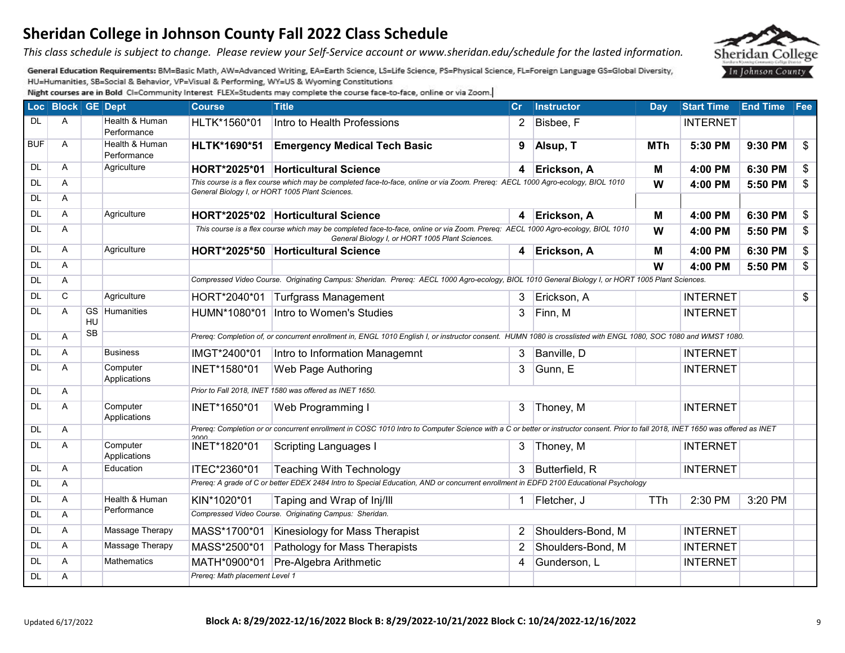#### Updated 6/17/2022 **Block A: 8/29/2022-12/16/2022 Block B: 8/29/2022-10/21/2022 Block C: 10/24/2022-12/16/2022** 9

# **Sheridan College in Johnson County Fall 2022 Class Schedule**

*This class schedule is subject to change. Please review your Self-Service account or www.sheridan.edu/schedule for the lasted information.* 

General Education Requirements: BM=Basic Math, AW=Advanced Writing, EA=Earth Science, LS=Life Science, PS=Physical Science, FL=Foreign Language GS=Global Diversity, HU=Humanities, SB=Social & Behavior, VP=Visual & Performing, WY=US & Wyoming Constitutions

|            | Loc Block GE Dept |           |                               | <b>Course</b>                  | <b>Title</b>                                                                                                                                                                       | Cr                      | <b>Instructor</b> | Day        | Start Time End Time Fee |         |                 |
|------------|-------------------|-----------|-------------------------------|--------------------------------|------------------------------------------------------------------------------------------------------------------------------------------------------------------------------------|-------------------------|-------------------|------------|-------------------------|---------|-----------------|
| DL         | A                 |           | Health & Human<br>Performance | HLTK*1560*01                   | Intro to Health Professions                                                                                                                                                        | 2                       | Bisbee, F         |            | <b>INTERNET</b>         |         |                 |
| <b>BUF</b> | A                 |           | Health & Human<br>Performance | HLTK*1690*51                   | <b>Emergency Medical Tech Basic</b>                                                                                                                                                | 9                       | Alsup, T          | <b>MTh</b> | 5:30 PM                 | 9:30 PM | $\frac{2}{3}$   |
| DL         | A                 |           | Agriculture                   |                                | HORT*2025*01 Horticultural Science                                                                                                                                                 | $\overline{\mathbf{4}}$ | Erickson, A       | М          | 4:00 PM                 | 6:30 PM | $\overline{\$}$ |
| DL         | A                 |           |                               |                                | This course is a flex course which may be completed face-to-face, online or via Zoom. Prereq: AECL 1000 Agro-ecology, BIOL 1010<br>General Biology I, or HORT 1005 Plant Sciences. |                         |                   | W          | 4:00 PM                 | 5:50 PM | \$              |
| <b>DL</b>  | A                 |           |                               |                                |                                                                                                                                                                                    |                         |                   |            |                         |         |                 |
| <b>DL</b>  | A                 |           | Agriculture                   |                                | HORT*2025*02 Horticultural Science                                                                                                                                                 | 4                       | Erickson, A       | M          | 4:00 PM                 | 6:30 PM | \$              |
| DL         | A                 |           |                               |                                | This course is a flex course which may be completed face-to-face, online or via Zoom. Prereq: AECL 1000 Agro-ecology, BIOL 1010<br>General Biology I, or HORT 1005 Plant Sciences. |                         |                   | W          | 4:00 PM                 | 5:50 PM | $\sqrt{3}$      |
| <b>DL</b>  | A                 |           | Agriculture                   | HORT*2025*50                   | <b>Horticultural Science</b>                                                                                                                                                       | $\overline{4}$          | Erickson, A       | М          | 4:00 PM                 | 6:30 PM | \$              |
| <b>DL</b>  | Α                 |           |                               |                                |                                                                                                                                                                                    |                         |                   | W          | 4:00 PM                 | 5:50 PM | \$              |
| <b>DL</b>  | Α                 |           |                               |                                | Compressed Video Course. Originating Campus: Sheridan. Prereq: AECL 1000 Agro-ecology, BIOL 1010 General Biology I, or HORT 1005 Plant Sciences.                                   |                         |                   |            |                         |         |                 |
| <b>DL</b>  | $\mathsf{C}$      |           | Agriculture                   | HORT*2040*01                   | Turfgrass Management                                                                                                                                                               | 3                       | Erickson, A       |            | <b>INTERNET</b>         |         | \$              |
| <b>DL</b>  | A                 | HU        | <b>GS</b> Humanities          | HUMN*1080*01                   | Intro to Women's Studies                                                                                                                                                           | 3                       | Finn, M           |            | <b>INTERNET</b>         |         |                 |
| DL         | A                 | <b>SB</b> |                               |                                | Prereg: Completion of, or concurrent enrollment in, ENGL 1010 English I, or instructor consent. HUMN 1080 is crosslisted with ENGL 1080, SOC 1080 and WMST 1080.                   |                         |                   |            |                         |         |                 |
| DL         | A                 |           | <b>Business</b>               | IMGT*2400*01                   | Intro to Information Managemnt                                                                                                                                                     | $\mathbf{3}$            | Banville, D       |            | <b>INTERNET</b>         |         |                 |
| <b>DL</b>  | A                 |           | Computer<br>Applications      | INET*1580*01                   | Web Page Authoring                                                                                                                                                                 | 3                       | Gunn, E           |            | <b>INTERNET</b>         |         |                 |
| DL         | A                 |           |                               |                                | Prior to Fall 2018, INET 1580 was offered as INET 1650.                                                                                                                            |                         |                   |            |                         |         |                 |
| <b>DL</b>  | A                 |           | Computer<br>Applications      | INET*1650*01                   | Web Programming I                                                                                                                                                                  | $\mathbf{3}$            | Thoney, M         |            | <b>INTERNET</b>         |         |                 |
| <b>DL</b>  | A                 |           |                               | 2000                           | Prereq: Completion or or concurrent enrollment in COSC 1010 Intro to Computer Science with a C or better or instructor consent. Prior to fall 2018, INET 1650 was offered as INET  |                         |                   |            |                         |         |                 |
| <b>DL</b>  | Α                 |           | Computer<br>Applications      | INET*1820*01                   | Scripting Languages I                                                                                                                                                              | 3 <sup>1</sup>          | Thoney, M         |            | <b>INTERNET</b>         |         |                 |
| <b>DL</b>  | A                 |           | Education                     | ITEC*2360*01                   | <b>Teaching With Technology</b>                                                                                                                                                    | 3                       | Butterfield, R    |            | <b>INTERNET</b>         |         |                 |
| <b>DL</b>  | A                 |           |                               |                                | Prereq: A grade of C or better EDEX 2484 Intro to Special Education, AND or concurrent enrollment in EDFD 2100 Educational Psychology                                              |                         |                   |            |                         |         |                 |
| DL         | A                 |           | Health & Human                | KIN*1020*01                    | Taping and Wrap of Inj/III                                                                                                                                                         | $\mathbf{1}$            | Fletcher, J       | <b>TTh</b> | 2:30 PM                 | 3:20 PM |                 |
| <b>DL</b>  | A                 |           | Performance                   |                                | Compressed Video Course. Originating Campus: Sheridan.                                                                                                                             |                         |                   |            |                         |         |                 |
| <b>DL</b>  | A                 |           | Massage Therapy               | MASS*1700*01                   | Kinesiology for Mass Therapist                                                                                                                                                     | 2                       | Shoulders-Bond, M |            | <b>INTERNET</b>         |         |                 |
| <b>DL</b>  | A                 |           | Massage Therapy               | MASS*2500*01                   | Pathology for Mass Therapists                                                                                                                                                      | 2                       | Shoulders-Bond, M |            | <b>INTERNET</b>         |         |                 |
| DL         | A                 |           | <b>Mathematics</b>            | MATH*0900*01                   | Pre-Algebra Arithmetic                                                                                                                                                             | 4                       | Gunderson, L      |            | <b>INTERNET</b>         |         |                 |
| <b>DL</b>  | A                 |           |                               | Prereq: Math placement Level 1 |                                                                                                                                                                                    |                         |                   |            |                         |         |                 |

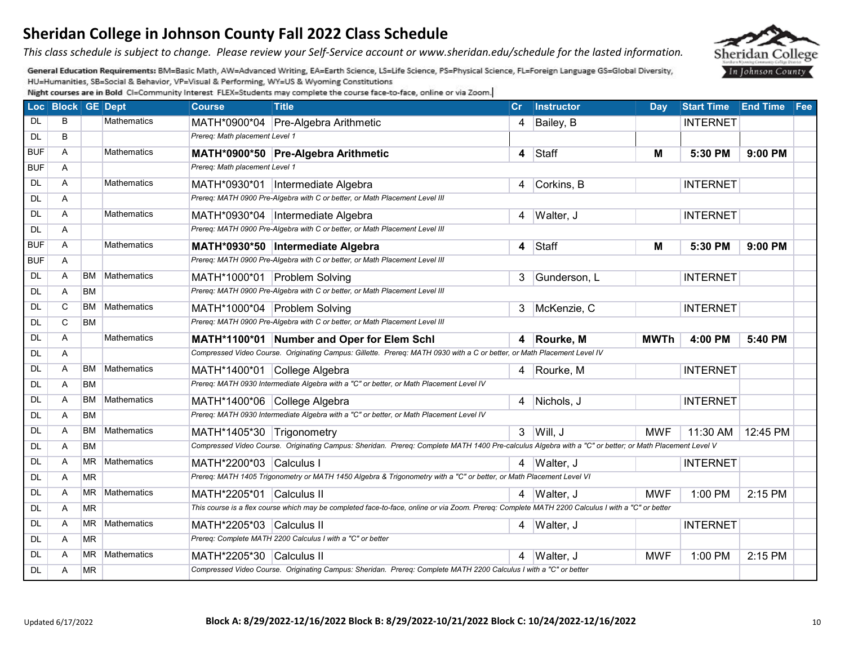*This class schedule is subject to change. Please review your Self-Service account or www.sheridan.edu/schedule for the lasted information.* 

General Education Requirements: BM=Basic Math, AW=Advanced Writing, EA=Earth Science, LS=Life Science, PS=Physical Science, FL=Foreign Language GS=Global Diversity, HU=Humanities, SB=Social & Behavior, VP=Visual & Performing, WY=US & Wyoming Constitutions

|            | Loc Block GE Dept |           |                    | <b>Course</b>                  | <b>Title</b>                                                                                                                                           | $\mathsf{Cr}$           | Instructor   | Day         | <b>Start Time</b> | <b>End Time Fee</b> |  |
|------------|-------------------|-----------|--------------------|--------------------------------|--------------------------------------------------------------------------------------------------------------------------------------------------------|-------------------------|--------------|-------------|-------------------|---------------------|--|
| <b>DL</b>  | B                 |           | <b>Mathematics</b> | MATH*0900*04                   | Pre-Algebra Arithmetic                                                                                                                                 | 4                       | Bailey, B    |             | <b>INTERNET</b>   |                     |  |
| <b>DL</b>  | B                 |           |                    | Prereg: Math placement Level 1 |                                                                                                                                                        |                         |              |             |                   |                     |  |
| <b>BUF</b> | A                 |           | <b>Mathematics</b> |                                | MATH*0900*50 Pre-Algebra Arithmetic                                                                                                                    | $\overline{\mathbf{4}}$ | Staff        | M           | 5:30 PM           | 9:00 PM             |  |
| <b>BUF</b> | A                 |           |                    | Prereg: Math placement Level 1 |                                                                                                                                                        |                         |              |             |                   |                     |  |
| DL         | A                 |           | Mathematics        |                                | MATH*0930*01  Intermediate Algebra                                                                                                                     | 4                       | Corkins, B   |             | <b>INTERNET</b>   |                     |  |
| <b>DL</b>  | A                 |           |                    |                                | Prereq: MATH 0900 Pre-Algebra with C or better, or Math Placement Level III                                                                            |                         |              |             |                   |                     |  |
| <b>DL</b>  | A                 |           | <b>Mathematics</b> |                                | MATH*0930*04   Intermediate Algebra                                                                                                                    | 4                       | Walter, J    |             | <b>INTERNET</b>   |                     |  |
| <b>DL</b>  | A                 |           |                    |                                | Prereq: MATH 0900 Pre-Algebra with C or better, or Math Placement Level III                                                                            |                         |              |             |                   |                     |  |
| <b>BUF</b> | A                 |           | <b>Mathematics</b> |                                | MATH*0930*50  Intermediate Algebra                                                                                                                     |                         | 4 Staff      | M           | 5:30 PM           | $9:00$ PM           |  |
| <b>BUF</b> | A                 |           |                    |                                | Prereq: MATH 0900 Pre-Algebra with C or better, or Math Placement Level III                                                                            |                         |              |             |                   |                     |  |
| DL         | A                 | <b>BM</b> | <b>Mathematics</b> | MATH*1000*01 Problem Solving   |                                                                                                                                                        | 3                       | Gunderson, L |             | <b>INTERNET</b>   |                     |  |
| DL         | A                 | <b>BM</b> |                    |                                | Prereq: MATH 0900 Pre-Algebra with C or better, or Math Placement Level III                                                                            |                         |              |             |                   |                     |  |
| <b>DL</b>  | C                 | <b>BM</b> | <b>Mathematics</b> | MATH*1000*04 Problem Solving   |                                                                                                                                                        | $\mathbf{3}$            | McKenzie, C  |             | <b>INTERNET</b>   |                     |  |
| <b>DL</b>  | C                 | <b>BM</b> |                    |                                | Prereq: MATH 0900 Pre-Algebra with C or better, or Math Placement Level III                                                                            |                         |              |             |                   |                     |  |
| DL         | A                 |           | <b>Mathematics</b> |                                | MATH*1100*01 Number and Oper for Elem Schl                                                                                                             |                         | 4 Rourke, M  | <b>MWTh</b> | 4:00 PM           | 5:40 PM             |  |
| <b>DL</b>  | A                 |           |                    |                                | Compressed Video Course. Originating Campus: Gillette. Prereq: MATH 0930 with a C or better, or Math Placement Level IV                                |                         |              |             |                   |                     |  |
| DL         | A                 | BM        | <b>Mathematics</b> | MATH*1400*01 College Algebra   |                                                                                                                                                        |                         | 4 Rourke, M  |             | <b>INTERNET</b>   |                     |  |
| <b>DL</b>  | A                 | <b>BM</b> |                    |                                | Prereq: MATH 0930 Intermediate Algebra with a "C" or better, or Math Placement Level IV                                                                |                         |              |             |                   |                     |  |
| DL         | A                 | <b>BM</b> | <b>Mathematics</b> | MATH*1400*06 College Algebra   |                                                                                                                                                        |                         | 4 Nichols, J |             | <b>INTERNET</b>   |                     |  |
| <b>DL</b>  | A                 | <b>BM</b> |                    |                                | Prereq: MATH 0930 Intermediate Algebra with a "C" or better, or Math Placement Level IV                                                                |                         |              |             |                   |                     |  |
| <b>DL</b>  | A                 | <b>BM</b> | <b>Mathematics</b> | MATH*1405*30 Trigonometry      |                                                                                                                                                        |                         | $3$ Will, J  | <b>MWF</b>  | 11:30 AM          | 12:45 PM            |  |
| <b>DL</b>  | A                 | <b>BM</b> |                    |                                | Compressed Video Course. Originating Campus: Sheridan. Prereq: Complete MATH 1400 Pre-calculus Algebra with a "C" or better; or Math Placement Level V |                         |              |             |                   |                     |  |
| <b>DL</b>  | A                 | <b>MR</b> | <b>Mathematics</b> | MATH*2200*03 Calculus I        |                                                                                                                                                        | 4                       | Walter, J    |             | <b>INTERNET</b>   |                     |  |
| <b>DL</b>  | A                 | <b>MR</b> |                    |                                | Prereq: MATH 1405 Trigonometry or MATH 1450 Algebra & Trigonometry with a "C" or better, or Math Placement Level VI                                    |                         |              |             |                   |                     |  |
| <b>DL</b>  | A                 | <b>MR</b> | <b>Mathematics</b> | MATH*2205*01 Calculus II       |                                                                                                                                                        |                         | 4 Walter, J  | <b>MWF</b>  | 1:00 PM           | 2:15 PM             |  |
| <b>DL</b>  | A                 | <b>MR</b> |                    |                                | This course is a flex course which may be completed face-to-face, online or via Zoom. Prereq: Complete MATH 2200 Calculus I with a "C" or better       |                         |              |             |                   |                     |  |
| DL         | A                 | <b>MR</b> | Mathematics        | MATH*2205*03 Calculus II       |                                                                                                                                                        | 4                       | Walter, J    |             | <b>INTERNET</b>   |                     |  |
| <b>DL</b>  | A                 | <b>MR</b> |                    |                                | Prereq: Complete MATH 2200 Calculus I with a "C" or better                                                                                             |                         |              |             |                   |                     |  |
| <b>DL</b>  | A                 | <b>MR</b> | <b>Mathematics</b> | MATH*2205*30 Calculus II       |                                                                                                                                                        | 4                       | Walter, J    | <b>MWF</b>  | 1:00 PM           | 2:15 PM             |  |
| <b>DL</b>  | A                 | <b>MR</b> |                    |                                | Compressed Video Course. Originating Campus: Sheridan. Prereq: Complete MATH 2200 Calculus I with a "C" or better                                      |                         |              |             |                   |                     |  |

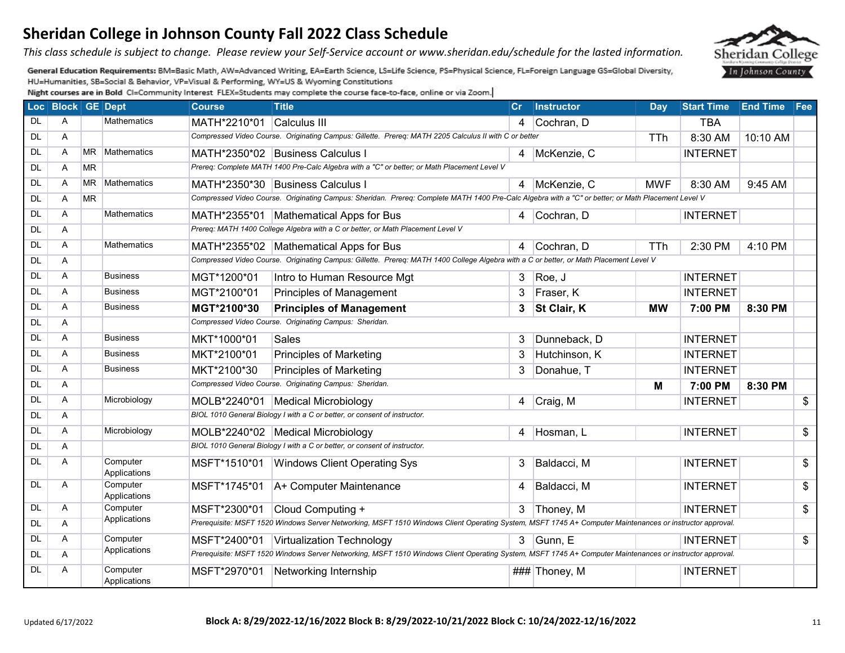*This class schedule is subject to change. Please review your Self-Service account or www.sheridan.edu/schedule for the lasted information.* 

General Education Requirements: BM=Basic Math, AW=Advanced Writing, EA=Earth Science, LS=Life Science, PS=Physical Science, FL=Foreign Language GS=Global Diversity, HU=Humanities, SB=Social & Behavior, VP=Visual & Performing, WY=US & Wyoming Constitutions

|           | Loc Block GE Dept |           |                          | <b>Course</b> | <b>Title</b>                                                                                                                                             | Cr             | <b>Instructor</b> | Day        | <b>Start Time End Time Fee</b> |          |                           |  |
|-----------|-------------------|-----------|--------------------------|---------------|----------------------------------------------------------------------------------------------------------------------------------------------------------|----------------|-------------------|------------|--------------------------------|----------|---------------------------|--|
| <b>DL</b> | A                 |           | <b>Mathematics</b>       | MATH*2210*01  | Calculus III                                                                                                                                             | $\overline{4}$ | Cochran, D        |            | <b>TBA</b>                     |          |                           |  |
| <b>DL</b> | A                 |           |                          |               | Compressed Video Course. Originating Campus: Gillette. Prereq: MATH 2205 Calculus II with C or better                                                    |                |                   | <b>TTh</b> | 8:30 AM                        | 10:10 AM |                           |  |
| <b>DL</b> | A                 | <b>MR</b> | Mathematics              |               | MATH*2350*02 Business Calculus I                                                                                                                         |                | 4 McKenzie, C     |            | <b>INTERNET</b>                |          |                           |  |
| <b>DL</b> | A                 | <b>MR</b> |                          |               | Prereq: Complete MATH 1400 Pre-Calc Algebra with a "C" or better; or Math Placement Level V                                                              |                |                   |            |                                |          |                           |  |
| <b>DL</b> | A                 | <b>MR</b> | Mathematics              |               | MATH*2350*30 Business Calculus I                                                                                                                         |                | 4 McKenzie, C     | <b>MWF</b> | 8:30 AM                        | 9:45 AM  |                           |  |
| <b>DL</b> | A                 | <b>MR</b> |                          |               | Compressed Video Course. Originating Campus: Sheridan. Prereq: Complete MATH 1400 Pre-Calc Algebra with a "C" or better; or Math Placement Level V       |                |                   |            |                                |          |                           |  |
| <b>DL</b> | A                 |           | <b>Mathematics</b>       |               | MATH*2355*01   Mathematical Apps for Bus                                                                                                                 | $\overline{4}$ | Cochran, D        |            | <b>INTERNET</b>                |          |                           |  |
| <b>DL</b> | Α                 |           |                          |               | Prereq: MATH 1400 College Algebra with a C or better, or Math Placement Level V                                                                          |                |                   |            |                                |          |                           |  |
| <b>DL</b> | A                 |           | <b>Mathematics</b>       |               | MATH*2355*02 Mathematical Apps for Bus                                                                                                                   | $\overline{4}$ | Cochran, D        | <b>TTh</b> | 2:30 PM                        | 4:10 PM  |                           |  |
| <b>DL</b> | A                 |           |                          |               | Compressed Video Course. Originating Campus: Gillette. Prereq: MATH 1400 College Algebra with a C or better, or Math Placement Level V                   |                |                   |            |                                |          |                           |  |
| <b>DL</b> | A                 |           | <b>Business</b>          | MGT*1200*01   | Intro to Human Resource Mgt                                                                                                                              | 3              | Roe, J            |            | <b>INTERNET</b>                |          |                           |  |
| <b>DL</b> | A                 |           | <b>Business</b>          | MGT*2100*01   | Principles of Management                                                                                                                                 | 3 <sup>1</sup> | Fraser, K         |            | <b>INTERNET</b>                |          |                           |  |
| <b>DL</b> | A                 |           | <b>Business</b>          | MGT*2100*30   | <b>Principles of Management</b>                                                                                                                          | 3              | St Clair, K       | <b>MW</b>  | 7:00 PM                        | 8:30 PM  |                           |  |
| <b>DL</b> | A                 |           |                          |               | Compressed Video Course. Originating Campus: Sheridan.                                                                                                   |                |                   |            |                                |          |                           |  |
| <b>DL</b> | A                 |           | <b>Business</b>          | MKT*1000*01   | <b>Sales</b>                                                                                                                                             | 3              | Dunneback, D      |            | <b>INTERNET</b>                |          |                           |  |
| <b>DL</b> | A                 |           | <b>Business</b>          | MKT*2100*01   | <b>Principles of Marketing</b>                                                                                                                           | 3              | Hutchinson, K     |            | <b>INTERNET</b>                |          |                           |  |
| <b>DL</b> | A                 |           | <b>Business</b>          | MKT*2100*30   | <b>Principles of Marketing</b>                                                                                                                           | 3              | Donahue, T        |            | <b>INTERNET</b>                |          |                           |  |
| <b>DL</b> | A                 |           |                          |               | Compressed Video Course. Originating Campus: Sheridan.                                                                                                   |                |                   | M          | 7:00 PM                        | 8:30 PM  |                           |  |
| <b>DL</b> | A                 |           | Microbiology             |               | MOLB*2240*01   Medical Microbiology                                                                                                                      | 4              | Craig, M          |            | <b>INTERNET</b>                |          | $\boldsymbol{\mathsf{S}}$ |  |
| <b>DL</b> | A                 |           |                          |               | BIOL 1010 General Biology I with a C or better, or consent of instructor.                                                                                |                |                   |            |                                |          |                           |  |
| <b>DL</b> | A                 |           | Microbiology             |               | MOLB*2240*02   Medical Microbiology                                                                                                                      | 4              | Hosman, L         |            | <b>INTERNET</b>                |          | $\overline{\$}$           |  |
| DL        | A                 |           |                          |               | BIOL 1010 General Biology I with a C or better, or consent of instructor.                                                                                |                |                   |            |                                |          |                           |  |
| <b>DL</b> | A                 |           | Computer<br>Applications | MSFT*1510*01  | <b>Windows Client Operating Sys</b>                                                                                                                      | 3              | Baldacci, M       |            | <b>INTERNET</b>                |          | $\sqrt{3}$                |  |
| DL        | Α                 |           | Computer<br>Applications | MSFT*1745*01  | A+ Computer Maintenance                                                                                                                                  | 4              | Baldacci, M       |            | <b>INTERNET</b>                |          | $\overline{\mathcal{L}}$  |  |
| <b>DL</b> | A                 |           | Computer                 | MSFT*2300*01  | Cloud Computing +                                                                                                                                        |                | 3 Thoney, M       |            | <b>INTERNET</b>                |          | \$                        |  |
| <b>DL</b> | A                 |           | Applications             |               | Prerequisite: MSFT 1520 Windows Server Networking, MSFT 1510 Windows Client Operating System, MSFT 1745 A+ Computer Maintenances or instructor approval. |                |                   |            |                                |          |                           |  |
| <b>DL</b> | A                 |           | Computer                 | MSFT*2400*01  | Virtualization Technology                                                                                                                                |                | $3$ Gunn, E       |            | <b>INTERNET</b>                |          | $\sqrt[6]{2}$             |  |
| <b>DL</b> | A                 |           | Applications             |               | Prerequisite: MSFT 1520 Windows Server Networking, MSFT 1510 Windows Client Operating System, MSFT 1745 A+ Computer Maintenances or instructor approval. |                |                   |            |                                |          |                           |  |
| DL        | Α                 |           | Computer<br>Applications | MSFT*2970*01  | Networking Internship                                                                                                                                    |                | ### Thoney, M     |            | <b>INTERNET</b>                |          |                           |  |

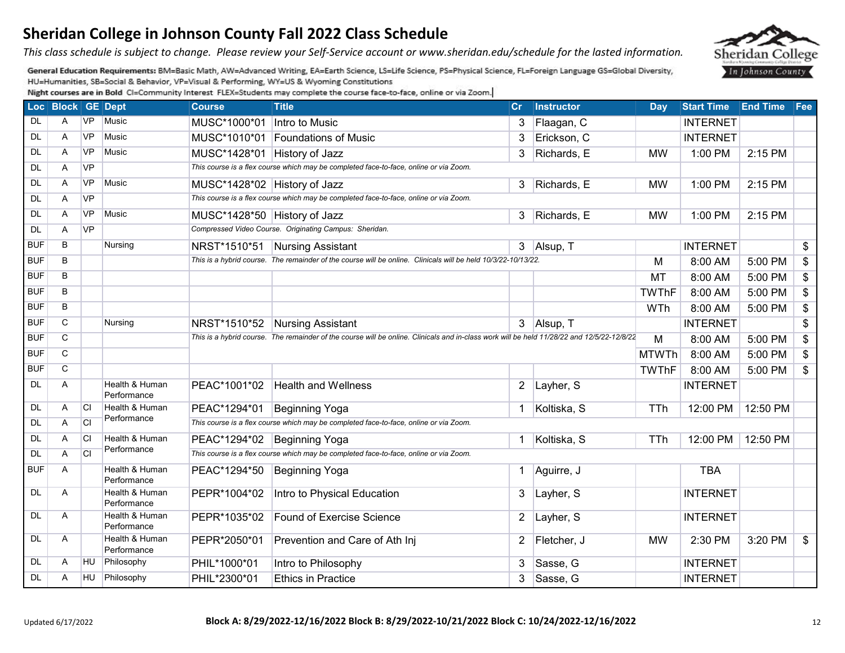*This class schedule is subject to change. Please review your Self-Service account or www.sheridan.edu/schedule for the lasted information.* 

General Education Requirements: BM=Basic Math, AW=Advanced Writing, EA=Earth Science, LS=Life Science, PS=Physical Science, FL=Foreign Language GS=Global Diversity, HU=Humanities, SB=Social & Behavior, VP=Visual & Performing, WY=US & Wyoming Constitutions

|            | Loc Block GE Dept |           |                               | <b>Course</b>                | <b>Title</b>                                                                                                                                               | Cr             | <b>Instructor</b> | <b>Day</b>   | <b>Start Time</b> | <b>End Time Fee</b> |    |  |
|------------|-------------------|-----------|-------------------------------|------------------------------|------------------------------------------------------------------------------------------------------------------------------------------------------------|----------------|-------------------|--------------|-------------------|---------------------|----|--|
| DL         | A                 | <b>VP</b> | Music                         | MUSC*1000*01                 | Intro to Music                                                                                                                                             | 3              | Flaagan, C        |              | <b>INTERNET</b>   |                     |    |  |
| <b>DL</b>  | A                 | <b>VP</b> | <b>Music</b>                  |                              | MUSC*1010*01 Foundations of Music                                                                                                                          | 3              | Erickson, C       |              | <b>INTERNET</b>   |                     |    |  |
| DL         | Α                 | <b>VP</b> | Music                         | MUSC*1428*01 History of Jazz |                                                                                                                                                            | 3              | Richards, E       | <b>MW</b>    | 1:00 PM           | 2:15 PM             |    |  |
| <b>DL</b>  | Α                 | <b>VP</b> |                               |                              | This course is a flex course which may be completed face-to-face, online or via Zoom.                                                                      |                |                   |              |                   |                     |    |  |
| <b>DL</b>  | A                 | <b>VP</b> | <b>Music</b>                  | MUSC*1428*02 History of Jazz |                                                                                                                                                            | 3              | Richards, E       | <b>MW</b>    | 1:00 PM           | 2:15 PM             |    |  |
| DL         | Α                 | <b>VP</b> |                               |                              | This course is a flex course which may be completed face-to-face, online or via Zoom.                                                                      |                |                   |              |                   |                     |    |  |
| <b>DL</b>  | Α                 | <b>VP</b> | Music                         | MUSC*1428*50 History of Jazz |                                                                                                                                                            | 3              | Richards, E       | <b>MW</b>    | 1:00 PM           | 2:15 PM             |    |  |
| DL         | Α                 | <b>VP</b> |                               |                              | Compressed Video Course. Originating Campus: Sheridan.                                                                                                     |                |                   |              |                   |                     |    |  |
| <b>BUF</b> | B                 |           | Nursing                       | NRST*1510*51                 | Nursing Assistant                                                                                                                                          |                | 3 Alsup, T        |              | <b>INTERNET</b>   |                     | \$ |  |
| <b>BUF</b> | B                 |           |                               |                              | This is a hybrid course. The remainder of the course will be online. Clinicals will be held 10/3/22-10/13/22.                                              |                |                   | M            | 8:00 AM           | 5:00 PM             | \$ |  |
| <b>BUF</b> | B                 |           |                               |                              |                                                                                                                                                            |                |                   | MT           | 8:00 AM           | 5:00 PM             | \$ |  |
| <b>BUF</b> | B                 |           |                               |                              |                                                                                                                                                            |                |                   | <b>TWThF</b> | 8:00 AM           | 5:00 PM             | \$ |  |
| <b>BUF</b> | B                 |           |                               |                              |                                                                                                                                                            |                |                   | WTh          | 8:00 AM           | 5:00 PM             | \$ |  |
| <b>BUF</b> | C                 |           | Nursing                       | NRST*1510*52                 | Nursing Assistant                                                                                                                                          |                | 3 Alsup, T        |              | <b>INTERNET</b>   |                     | \$ |  |
| <b>BUF</b> | C.                |           |                               |                              | This is a hybrid course. The remainder of the course will be online. Clinicals and in-class work will be held 11/28/22 and 12/5/22-12/8/22<br>M<br>8:00 AM |                |                   |              |                   |                     |    |  |
| <b>BUF</b> | C                 |           |                               |                              |                                                                                                                                                            |                |                   | <b>MTWTh</b> | 8:00 AM           | 5:00 PM             | \$ |  |
| <b>BUF</b> | $\overline{C}$    |           |                               |                              |                                                                                                                                                            |                |                   | <b>TWThF</b> | 8:00 AM           | 5:00 PM             | \$ |  |
| <b>DL</b>  | A                 |           | Health & Human<br>Performance | PEAC*1001*02                 | <b>Health and Wellness</b>                                                                                                                                 | $\overline{2}$ | Layher, S         |              | <b>INTERNET</b>   |                     |    |  |
| DL         | Α                 | <b>CI</b> | Health & Human                | PEAC*1294*01                 | Beginning Yoga                                                                                                                                             |                | Koltiska, S       | <b>TTh</b>   | 12:00 PM          | 12:50 PM            |    |  |
| <b>DL</b>  | Α                 | <b>CI</b> | Performance                   |                              | This course is a flex course which may be completed face-to-face, online or via Zoom.                                                                      |                |                   |              |                   |                     |    |  |
| <b>DL</b>  | Α                 | <b>CI</b> | Health & Human                | PEAC*1294*02                 | Beginning Yoga                                                                                                                                             |                | Koltiska, S       | TTh          | 12:00 PM          | 12:50 PM            |    |  |
| <b>DL</b>  | Α                 | <b>CI</b> | Performance                   |                              | This course is a flex course which may be completed face-to-face, online or via Zoom.                                                                      |                |                   |              |                   |                     |    |  |
| <b>BUF</b> | A                 |           | Health & Human<br>Performance | PEAC*1294*50                 | Beginning Yoga                                                                                                                                             | 1              | Aguirre, J        |              | <b>TBA</b>        |                     |    |  |
| <b>DL</b>  | A                 |           | Health & Human<br>Performance | PEPR*1004*02                 | Intro to Physical Education                                                                                                                                | 3              | Layher, S         |              | <b>INTERNET</b>   |                     |    |  |
| <b>DL</b>  | A                 |           | Health & Human<br>Performance | PEPR*1035*02                 | <b>Found of Exercise Science</b>                                                                                                                           | $\overline{2}$ | Layher, S         |              | <b>INTERNET</b>   |                     |    |  |
| <b>DL</b>  | A                 |           | Health & Human<br>Performance | PEPR*2050*01                 | Prevention and Care of Ath Inj                                                                                                                             | 2              | Fletcher, J       | <b>MW</b>    | 2:30 PM           | 3:20 PM             | \$ |  |
| DL         | A                 | HU.       | Philosophy                    | PHIL*1000*01                 | Intro to Philosophy                                                                                                                                        | 3              | Sasse, G          |              | <b>INTERNET</b>   |                     |    |  |
| <b>DL</b>  | A                 | HU        | Philosophy                    | PHIL*2300*01                 | <b>Ethics in Practice</b>                                                                                                                                  |                | 3 Sasse, G        |              | <b>INTERNET</b>   |                     |    |  |

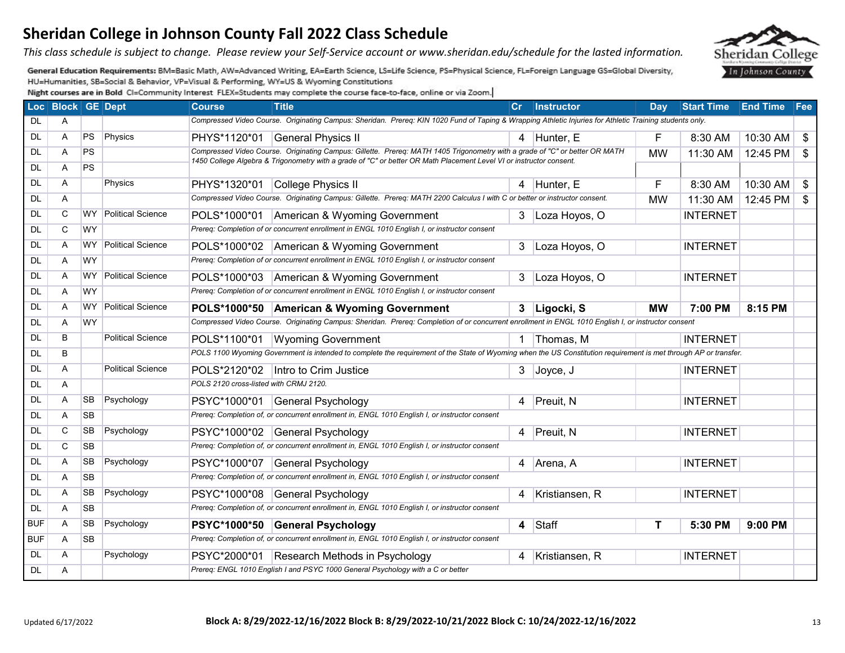*This class schedule is subject to change. Please review your Self-Service account or www.sheridan.edu/schedule for the lasted information.* 

General Education Requirements: BM=Basic Math, AW=Advanced Writing, EA=Earth Science, LS=Life Science, PS=Physical Science, FL=Foreign Language GS=Global Diversity, HU=Humanities, SB=Social & Behavior, VP=Visual & Performing, WY=US & Wyoming Constitutions

|            | Loc Block GE Dept |           |                          | <b>Course</b>                          | <b>Title</b>                                                                                                                                                     | Cr             | <b>Instructor</b> | Day       | <b>Start Time</b> | <b>End Time</b> | Fee            |
|------------|-------------------|-----------|--------------------------|----------------------------------------|------------------------------------------------------------------------------------------------------------------------------------------------------------------|----------------|-------------------|-----------|-------------------|-----------------|----------------|
| DL         | A                 |           |                          |                                        | Compressed Video Course. Originating Campus: Sheridan. Prereq: KIN 1020 Fund of Taping & Wrapping Athletic Injuries for Athletic Training students only.         |                |                   |           |                   |                 |                |
| DL         | Α                 | PS        | Physics                  | PHYS*1120*01                           | General Physics II                                                                                                                                               |                | 4 Hunter, E       | F         | 8:30 AM           | 10:30 AM        | $\sqrt[6]{2}$  |
| DL         | A                 | PS        |                          |                                        | Compressed Video Course. Originating Campus: Gillette. Prereg: MATH 1405 Trigonometry with a grade of "C" or better OR MATH                                      |                |                   | <b>MW</b> | 11:30 AM          | 12:45 PM        | $\mathfrak{S}$ |
| DL         | Α                 | <b>PS</b> |                          |                                        | 1450 College Algebra & Trigonometry with a grade of "C" or better OR Math Placement Level VI or instructor consent.                                              |                |                   |           |                   |                 |                |
| DL         | A                 |           | Physics                  | PHYS*1320*01                           | College Physics II                                                                                                                                               |                | 4 Hunter, E       | E         | 8:30 AM           | 10:30 AM        | \$             |
| <b>DL</b>  | A                 |           |                          |                                        | Compressed Video Course. Originating Campus: Gillette. Prereq: MATH 2200 Calculus I with C or better or instructor consent.                                      |                |                   | <b>MW</b> | 11:30 AM          | 12:45 PM        | $\mathfrak{S}$ |
| <b>DL</b>  | C                 | <b>WY</b> | Political Science        |                                        | POLS*1000*01 American & Wyoming Government                                                                                                                       | 3              | Loza Hoyos, O     |           | <b>INTERNET</b>   |                 |                |
| DL         | C                 | <b>WY</b> |                          |                                        | Prereq: Completion of or concurrent enrollment in ENGL 1010 English I, or instructor consent                                                                     |                |                   |           |                   |                 |                |
| DL         | A                 | WY.       | <b>Political Science</b> |                                        | POLS*1000*02 American & Wyoming Government                                                                                                                       | 3              | Loza Hoyos, O     |           | <b>INTERNET</b>   |                 |                |
| <b>DL</b>  | A                 | <b>WY</b> |                          |                                        | Prereq: Completion of or concurrent enrollment in ENGL 1010 English I, or instructor consent                                                                     |                |                   |           |                   |                 |                |
| DL         | Α                 | WY        | Political Science        |                                        | POLS*1000*03 American & Wyoming Government                                                                                                                       | 3              | Loza Hoyos, O     |           | <b>INTERNET</b>   |                 |                |
| <b>DL</b>  | Α                 | <b>WY</b> |                          |                                        | Prereq: Completion of or concurrent enrollment in ENGL 1010 English I, or instructor consent                                                                     |                |                   |           |                   |                 |                |
| DL         | A                 | WY.       | <b>Political Science</b> |                                        | POLS*1000*50 American & Wyoming Government                                                                                                                       | 3 <sup>1</sup> | Ligocki, S        | <b>MW</b> | 7:00 PM           | 8:15 PM         |                |
| <b>DL</b>  | A                 | <b>WY</b> |                          |                                        | Compressed Video Course. Originating Campus: Sheridan. Prereq: Completion of or concurrent enrollment in ENGL 1010 English I, or instructor consent              |                |                   |           |                   |                 |                |
| <b>DL</b>  | B                 |           | <b>Political Science</b> | POLS*1100*01                           | <b>Wyoming Government</b>                                                                                                                                        |                | Thomas, M         |           | <b>INTERNET</b>   |                 |                |
| <b>DL</b>  | B                 |           |                          |                                        | POLS 1100 Wyoming Government is intended to complete the requirement of the State of Wyoming when the US Constitution requirement is met through AP or transfer. |                |                   |           |                   |                 |                |
| <b>DL</b>  | A                 |           | <b>Political Science</b> | POLS*2120*02                           | Intro to Crim Justice                                                                                                                                            |                | $3$ Joyce, J      |           | <b>INTERNET</b>   |                 |                |
| <b>DL</b>  | A                 |           |                          | POLS 2120 cross-listed with CRMJ 2120. |                                                                                                                                                                  |                |                   |           |                   |                 |                |
| <b>DL</b>  | A                 | <b>SB</b> | Psychology               | PSYC*1000*01                           | General Psychology                                                                                                                                               |                | 4 Preuit, N       |           | <b>INTERNET</b>   |                 |                |
| DL         | Α                 | <b>SB</b> |                          |                                        | Prereq: Completion of, or concurrent enrollment in, ENGL 1010 English I, or instructor consent                                                                   |                |                   |           |                   |                 |                |
| <b>DL</b>  | C                 | <b>SB</b> | Psychology               | PSYC*1000*02                           | General Psychology                                                                                                                                               | $\overline{4}$ | Preuit, N         |           | <b>INTERNET</b>   |                 |                |
| <b>DL</b>  | $\mathsf{C}$      | <b>SB</b> |                          |                                        | Prereq: Completion of, or concurrent enrollment in, ENGL 1010 English I, or instructor consent                                                                   |                |                   |           |                   |                 |                |
| <b>DL</b>  | Α                 | SB        | Psychology               | PSYC*1000*07                           | General Psychology                                                                                                                                               |                | 4 Arena, A        |           | <b>INTERNET</b>   |                 |                |
| DL         | A                 | <b>SB</b> |                          |                                        | Prereq: Completion of, or concurrent enrollment in, ENGL 1010 English I, or instructor consent                                                                   |                |                   |           |                   |                 |                |
| DL         | Α                 | <b>SB</b> | Psychology               | PSYC*1000*08                           | General Psychology                                                                                                                                               | 4              | Kristiansen, R    |           | <b>INTERNET</b>   |                 |                |
| <b>DL</b>  | Α                 | <b>SB</b> |                          |                                        | Prereq: Completion of, or concurrent enrollment in, ENGL 1010 English I, or instructor consent                                                                   |                |                   |           |                   |                 |                |
| <b>BUF</b> | Α                 | <b>SB</b> | Psychology               |                                        | PSYC*1000*50 General Psychology                                                                                                                                  | $\overline{4}$ | Staff             | т         | 5:30 PM           | 9:00 PM         |                |
| <b>BUF</b> | A                 | <b>SB</b> |                          |                                        | Prereq: Completion of, or concurrent enrollment in, ENGL 1010 English I, or instructor consent                                                                   |                |                   |           |                   |                 |                |
| DL         | A                 |           | Psychology               | PSYC*2000*01                           | Research Methods in Psychology                                                                                                                                   | 4              | Kristiansen, R    |           | <b>INTERNET</b>   |                 |                |
| DL         | Α                 |           |                          |                                        | Prereq: ENGL 1010 English I and PSYC 1000 General Psychology with a C or better                                                                                  |                |                   |           |                   |                 |                |

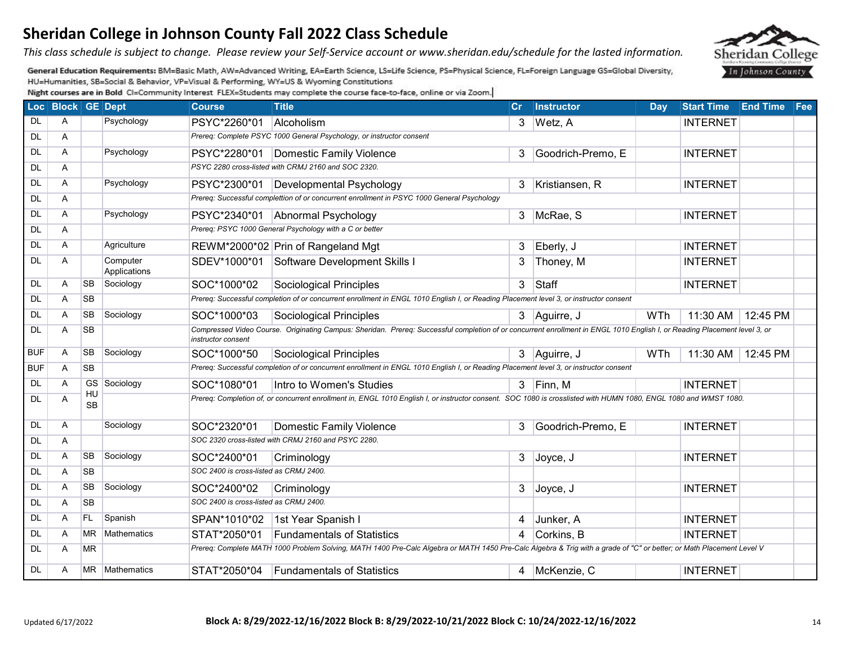*This class schedule is subject to change. Please review your Self-Service account or www.sheridan.edu/schedule for the lasted information.* 

General Education Requirements: BM=Basic Math, AW=Advanced Writing, EA=Earth Science, LS=Life Science, PS=Physical Science, FL=Foreign Language GS=Global Diversity, HU=Humanities, SB=Social & Behavior, VP=Visual & Performing, WY=US & Wyoming Constitutions

|            | Loc Block GE Dept |                 |                          | <b>Course</b>                          | <b>Title</b>                                                                                                                                                              | $\mathbf{C}$ r | <b>Instructor</b> | Day | Start Time End Time Fee |          |  |
|------------|-------------------|-----------------|--------------------------|----------------------------------------|---------------------------------------------------------------------------------------------------------------------------------------------------------------------------|----------------|-------------------|-----|-------------------------|----------|--|
| DL         | A                 |                 | Psychology               | PSYC*2260*01                           | Alcoholism                                                                                                                                                                |                | 3 Wetz, A         |     | <b>INTERNET</b>         |          |  |
| DL         | Α                 |                 |                          |                                        | Prereq: Complete PSYC 1000 General Psychology, or instructor consent                                                                                                      |                |                   |     |                         |          |  |
| DL         | A                 |                 | Psychology               |                                        | PSYC*2280*01   Domestic Family Violence                                                                                                                                   | 3              | Goodrich-Premo, E |     | <b>INTERNET</b>         |          |  |
| DL         | A                 |                 |                          |                                        | PSYC 2280 cross-listed with CRMJ 2160 and SOC 2320.                                                                                                                       |                |                   |     |                         |          |  |
| <b>DL</b>  | A                 |                 | Psychology               |                                        | PSYC*2300*01   Developmental Psychology                                                                                                                                   | 3              | Kristiansen, R    |     | <b>INTERNET</b>         |          |  |
| DL         | A                 |                 |                          |                                        | Prereq: Successful complettion of or concurrent enrollment in PSYC 1000 General Psychology                                                                                |                |                   |     |                         |          |  |
| DL         | Α                 |                 | Psychology               |                                        | PSYC*2340*01 Abnormal Psychology                                                                                                                                          |                | 3 McRae, S        |     | <b>INTERNET</b>         |          |  |
| <b>DL</b>  | Α                 |                 |                          |                                        | Prereq: PSYC 1000 General Psychology with a C or better                                                                                                                   |                |                   |     |                         |          |  |
| DL         | A                 |                 | Agriculture              |                                        | REWM*2000*02 Prin of Rangeland Mgt                                                                                                                                        | 3              | Eberly, J         |     | <b>INTERNET</b>         |          |  |
| DL         | A                 |                 | Computer<br>Applications | SDEV*1000*01                           | Software Development Skills I                                                                                                                                             | 3              | Thoney, M         |     | <b>INTERNET</b>         |          |  |
| DL         | A                 | <b>SB</b>       | Sociology                | SOC*1000*02                            | Sociological Principles                                                                                                                                                   | 3              | Staff             |     | <b>INTERNET</b>         |          |  |
| DL         | A                 | <b>SB</b>       |                          |                                        | Prereq: Successful completion of or concurrent enrollment in ENGL 1010 English I, or Reading Placement level 3, or instructor consent                                     |                |                   |     |                         |          |  |
| <b>DL</b>  | A                 | <b>SB</b>       | Sociology                | SOC*1000*03                            | Sociological Principles                                                                                                                                                   |                | 3 Aguirre, J      | WTh | 11:30 AM                | 12:45 PM |  |
| <b>DL</b>  | A                 | <b>SB</b>       |                          | instructor consent                     | Compressed Video Course. Originating Campus: Sheridan. Prereq: Successful completion of or concurrent enrollment in ENGL 1010 English I, or Reading Placement level 3, or |                |                   |     |                         |          |  |
| <b>BUF</b> | A                 | <b>SB</b>       | Sociology                | SOC*1000*50                            | Sociological Principles                                                                                                                                                   |                | 3 Aguirre, J      | WTh | 11:30 AM                | 12:45 PM |  |
| <b>BUF</b> | A                 | <b>SB</b>       |                          |                                        | Prereq: Successful completion of or concurrent enrollment in ENGL 1010 English I, or Reading Placement level 3, or instructor consent                                     |                |                   |     |                         |          |  |
| DL         | A                 |                 | GS Sociology             | SOC*1080*01                            | Intro to Women's Studies                                                                                                                                                  |                | $3$ Finn, M       |     | <b>INTERNET</b>         |          |  |
| DL         | Α                 | HU<br><b>SB</b> |                          |                                        | Prereq: Completion of, or concurrent enrollment in, ENGL 1010 English I, or instructor consent. SOC 1080 is crosslisted with HUMN 1080, ENGL 1080 and WMST 1080.          |                |                   |     |                         |          |  |
| DL         | A                 |                 | Sociology                | SOC*2320*01                            | Domestic Family Violence                                                                                                                                                  | 3              | Goodrich-Premo, E |     | <b>INTERNET</b>         |          |  |
| DL         | A                 |                 |                          |                                        | SOC 2320 cross-listed with CRMJ 2160 and PSYC 2280.                                                                                                                       |                |                   |     |                         |          |  |
| <b>DL</b>  | A                 | SB              | Sociology                | SOC*2400*01                            | Criminology                                                                                                                                                               | 3              | Joyce, J          |     | <b>INTERNET</b>         |          |  |
| DL         | A                 | <b>SB</b>       |                          | SOC 2400 is cross-listed as CRMJ 2400. |                                                                                                                                                                           |                |                   |     |                         |          |  |
| <b>DL</b>  | A                 | <b>SB</b>       | Sociology                | SOC*2400*02                            | Criminology                                                                                                                                                               | 3              | Joyce, J          |     | <b>INTERNET</b>         |          |  |
| <b>DL</b>  | A                 | <b>SB</b>       |                          | SOC 2400 is cross-listed as CRMJ 2400. |                                                                                                                                                                           |                |                   |     |                         |          |  |
| DL         | A                 | FL              | Spanish                  | SPAN*1010*02                           | 1st Year Spanish I                                                                                                                                                        | 4              | Junker, A         |     | <b>INTERNET</b>         |          |  |
| DL         | A                 | MR.             | <b>Mathematics</b>       | STAT*2050*01                           | <b>Fundamentals of Statistics</b>                                                                                                                                         | 4              | Corkins, B        |     | <b>INTERNET</b>         |          |  |
| DL         | A                 | <b>MR</b>       |                          |                                        | Prereq: Complete MATH 1000 Problem Solving, MATH 1400 Pre-Calc Algebra or MATH 1450 Pre-Calc Algebra & Trig with a grade of "C" or better; or Math Placement Level V      |                |                   |     |                         |          |  |
| DL         | A                 |                 | MR Mathematics           |                                        | STAT*2050*04 Fundamentals of Statistics                                                                                                                                   |                | 4   McKenzie, C   |     | <b>INTERNET</b>         |          |  |

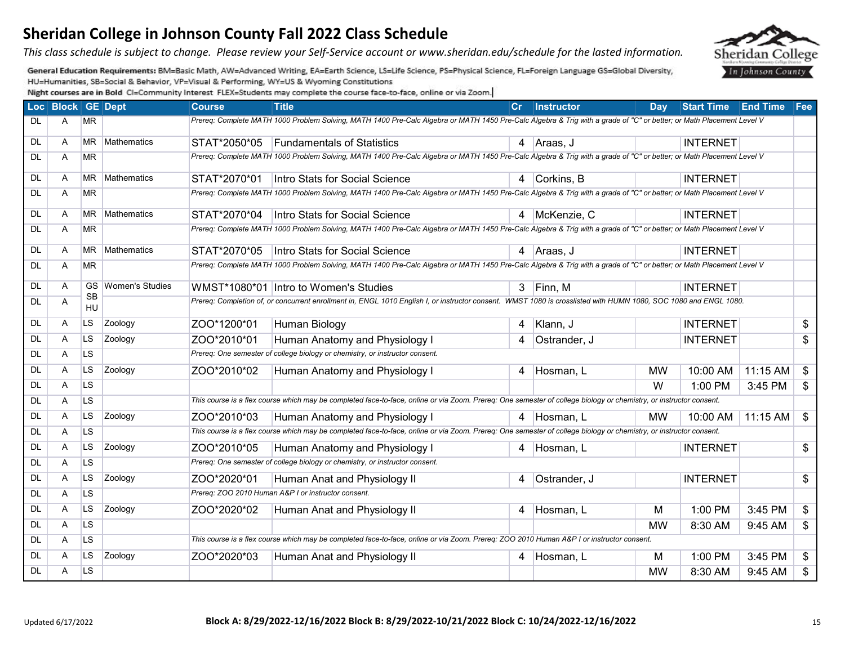*This class schedule is subject to change. Please review your Self-Service account or www.sheridan.edu/schedule for the lasted information.* 

General Education Requirements: BM=Basic Math, AW=Advanced Writing, EA=Earth Science, LS=Life Science, PS=Physical Science, FL=Foreign Language GS=Global Diversity, HU=Humanities, SB=Social & Behavior, VP=Visual & Performing, WY=US & Wyoming Constitutions

|           | Loc Block GE Dept |                 |                        | <b>Course</b>                                                                                                                             | <b>Title</b>                                                                                                                                                         | cr | <b>Instructor</b> | Dav       | <b>Start Time</b> | <b>End Time Fee</b> |                           |
|-----------|-------------------|-----------------|------------------------|-------------------------------------------------------------------------------------------------------------------------------------------|----------------------------------------------------------------------------------------------------------------------------------------------------------------------|----|-------------------|-----------|-------------------|---------------------|---------------------------|
| DL        | A                 | <b>MR</b>       |                        |                                                                                                                                           | Prereq: Complete MATH 1000 Problem Solving, MATH 1400 Pre-Calc Algebra or MATH 1450 Pre-Calc Algebra & Trig with a grade of "C" or better; or Math Placement Level V |    |                   |           |                   |                     |                           |
| DL        | A                 | <b>MR</b>       | Mathematics            | STAT*2050*05                                                                                                                              | <b>Fundamentals of Statistics</b>                                                                                                                                    |    | 4 Araas, J        |           | <b>INTERNET</b>   |                     |                           |
| <b>DL</b> | Α                 | <b>MR</b>       |                        |                                                                                                                                           | Prereg: Complete MATH 1000 Problem Solving, MATH 1400 Pre-Calc Algebra or MATH 1450 Pre-Calc Algebra & Trig with a grade of "C" or better; or Math Placement Level V |    |                   |           |                   |                     |                           |
| <b>DL</b> | A                 | <b>MR</b>       | Mathematics            | STAT*2070*01                                                                                                                              | Intro Stats for Social Science                                                                                                                                       |    | Corkins, B        |           | <b>INTERNET</b>   |                     |                           |
| <b>DL</b> | Α                 | <b>MR</b>       |                        |                                                                                                                                           | Prereq: Complete MATH 1000 Problem Solving, MATH 1400 Pre-Calc Algebra or MATH 1450 Pre-Calc Algebra & Trig with a grade of "C" or better; or Math Placement Level V |    |                   |           |                   |                     |                           |
| DL        | A                 | <b>MR</b>       | Mathematics            | STAT*2070*04                                                                                                                              | Intro Stats for Social Science                                                                                                                                       |    | 4 McKenzie, C     |           | <b>INTERNET</b>   |                     |                           |
| <b>DL</b> | Α                 | <b>MR</b>       |                        |                                                                                                                                           | Prereq: Complete MATH 1000 Problem Solving, MATH 1400 Pre-Calc Algebra or MATH 1450 Pre-Calc Algebra & Trig with a grade of "C" or better; or Math Placement Level V |    |                   |           |                   |                     |                           |
| DL        | A                 | <b>MR</b>       | Mathematics            | STAT*2070*05                                                                                                                              | Intro Stats for Social Science                                                                                                                                       |    | 4 Araas, J        |           | <b>INTERNET</b>   |                     |                           |
| <b>DL</b> | Α                 | <b>MR</b>       |                        |                                                                                                                                           | Prereq: Complete MATH 1000 Problem Solving, MATH 1400 Pre-Calc Algebra or MATH 1450 Pre-Calc Algebra & Trig with a grade of "C" or better; or Math Placement Level V |    |                   |           |                   |                     |                           |
| DL        | A                 | GS.             | <b>Women's Studies</b> |                                                                                                                                           | WMST*1080*01 Intro to Women's Studies                                                                                                                                |    | 3 Finn, M         |           | <b>INTERNET</b>   |                     |                           |
| <b>DL</b> | Α                 | <b>SB</b><br>HU |                        |                                                                                                                                           | Prereq: Completion of, or concurrent enrollment in, ENGL 1010 English I, or instructor consent. WMST 1080 is crosslisted with HUMN 1080, SOC 1080 and ENGL 1080.     |    |                   |           |                   |                     |                           |
| DL        | Α                 | <b>LS</b>       | Zoology                | ZOO*1200*01                                                                                                                               | Human Biology                                                                                                                                                        | 4  | Klann, J          |           | <b>INTERNET</b>   |                     | \$                        |
| DL        | Α                 | <b>LS</b>       | Zoology                | ZOO*2010*01                                                                                                                               | Human Anatomy and Physiology I                                                                                                                                       | 4  | Ostrander, J      |           | <b>INTERNET</b>   |                     | \$                        |
| DL        | Α                 | <b>LS</b>       |                        |                                                                                                                                           | Prereq: One semester of college biology or chemistry, or instructor consent.                                                                                         |    |                   |           |                   |                     |                           |
| <b>DL</b> | Α                 | <b>LS</b>       | Zoology                | ZOO*2010*02                                                                                                                               | Human Anatomy and Physiology I                                                                                                                                       | 4  | Hosman, L         | <b>MW</b> | 10:00 AM          | 11:15 AM            | $\frac{1}{2}$             |
| <b>DL</b> | Α                 | <b>LS</b>       |                        |                                                                                                                                           |                                                                                                                                                                      |    |                   | W         | 1:00 PM           | 3:45 PM             | $\boldsymbol{\mathsf{S}}$ |
| DL        | Α                 | <b>LS</b>       |                        |                                                                                                                                           | This course is a flex course which may be completed face-to-face, online or via Zoom. Prereq: One semester of college biology or chemistry, or instructor consent.   |    |                   |           |                   |                     |                           |
| <b>DL</b> | A                 | <b>LS</b>       | Zoology                | ZOO*2010*03                                                                                                                               | Human Anatomy and Physiology I                                                                                                                                       | 4  | Hosman, L         | <b>MW</b> | 10:00 AM          | 11:15 AM            | $\sqrt[6]{2}$             |
| <b>DL</b> | Α                 | LS.             |                        |                                                                                                                                           | This course is a flex course which may be completed face-to-face, online or via Zoom. Prereq: One semester of college biology or chemistry, or instructor consent.   |    |                   |           |                   |                     |                           |
| DL        | A                 | <b>LS</b>       | Zoology                | ZOO*2010*05                                                                                                                               | Human Anatomy and Physiology I                                                                                                                                       | 4  | Hosman, L         |           | <b>INTERNET</b>   |                     | \$                        |
| <b>DL</b> | Α                 | <b>LS</b>       |                        |                                                                                                                                           | Prereq: One semester of college biology or chemistry, or instructor consent.                                                                                         |    |                   |           |                   |                     |                           |
| <b>DL</b> | A                 | <b>LS</b>       | Zoology                | ZOO*2020*01                                                                                                                               | Human Anat and Physiology II                                                                                                                                         | 4  | Ostrander, J      |           | <b>INTERNET</b>   |                     | \$                        |
| <b>DL</b> | Α                 | LS.             |                        |                                                                                                                                           | Prereq: ZOO 2010 Human A&P I or instructor consent.                                                                                                                  |    |                   |           |                   |                     |                           |
| <b>DL</b> | A                 | <b>LS</b>       | Zoology                | ZOO*2020*02                                                                                                                               | Human Anat and Physiology II                                                                                                                                         | 4  | Hosman, L         | м         | 1:00 PM           | 3:45 PM             | \$                        |
| DL        | Α                 | <b>LS</b>       |                        |                                                                                                                                           |                                                                                                                                                                      |    |                   | <b>MW</b> | 8:30 AM           | 9:45 AM             | \$                        |
| <b>DL</b> | Α                 | LS.             |                        | This course is a flex course which may be completed face-to-face, online or via Zoom. Prereq: ZOO 2010 Human A&P I or instructor consent. |                                                                                                                                                                      |    |                   |           |                   |                     |                           |
| DL        | A                 | <b>LS</b>       | Zoology                | ZOO*2020*03                                                                                                                               | Human Anat and Physiology II                                                                                                                                         | 4  | Hosman, L         | м         | 1:00 PM           | 3:45 PM             | \$                        |
| DL        | Α                 | LS.             |                        |                                                                                                                                           |                                                                                                                                                                      |    |                   | <b>MW</b> | 8:30 AM           | 9:45 AM             | \$                        |

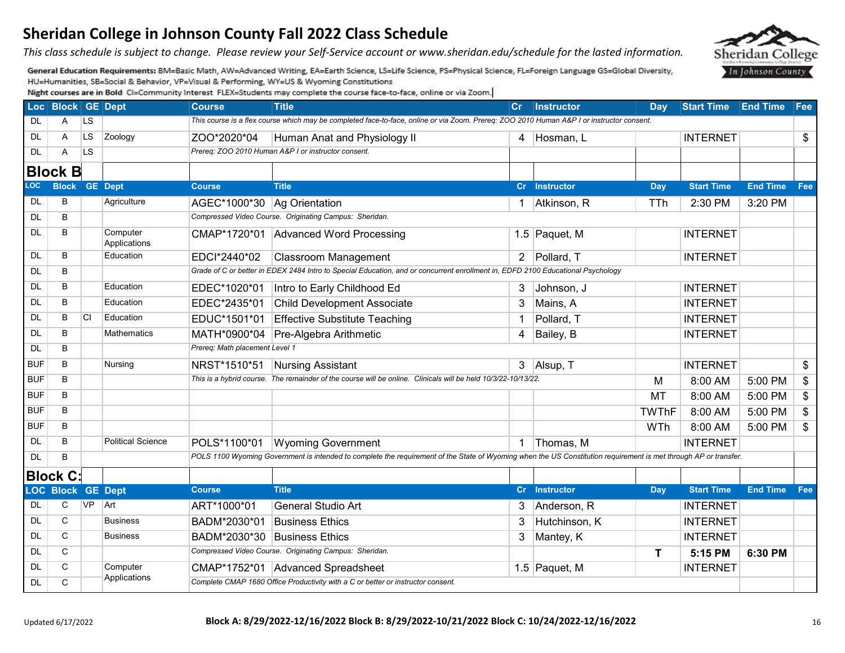*This class schedule is subject to change. Please review your Self-Service account or www.sheridan.edu/schedule for the lasted information.* 

General Education Requirements: BM=Basic Math, AW=Advanced Writing, EA=Earth Science, LS=Life Science, PS=Physical Science, FL=Foreign Language GS=Global Diversity, HU=Humanities, SB=Social & Behavior, VP=Visual & Performing, WY=US & Wyoming Constitutions

|            | Loc Block GE Dept        |           |                          | <b>Course</b>                  | <b>Title</b>                                                                                                                                                     | Cr             | <b>Instructor</b> | <b>Day</b>   | Start Time End Time Fee |                 |                 |
|------------|--------------------------|-----------|--------------------------|--------------------------------|------------------------------------------------------------------------------------------------------------------------------------------------------------------|----------------|-------------------|--------------|-------------------------|-----------------|-----------------|
| DL         | A                        | <b>LS</b> |                          |                                | This course is a flex course which may be completed face-to-face, online or via Zoom. Prereq: ZOO 2010 Human A&P I or instructor consent.                        |                |                   |              |                         |                 |                 |
| DL         | A                        | LS.       | Zoology                  | ZOO*2020*04                    | Human Anat and Physiology II                                                                                                                                     |                | 4 Hosman, L       |              | <b>INTERNET</b>         |                 | \$              |
| <b>DL</b>  | A                        | <b>LS</b> |                          |                                | Prereq: ZOO 2010 Human A&P I or instructor consent.                                                                                                              |                |                   |              |                         |                 |                 |
|            | <b>Block B</b>           |           |                          |                                |                                                                                                                                                                  |                |                   |              |                         |                 |                 |
| <b>LOC</b> | <b>Block GE Dept</b>     |           |                          | <b>Course</b>                  | <b>Title</b>                                                                                                                                                     |                | Cr Instructor     | Day          | <b>Start Time</b>       | <b>End Time</b> | Fee             |
| <b>DL</b>  | B                        |           | Agriculture              | AGEC*1000*30 Ag Orientation    |                                                                                                                                                                  |                | Atkinson, R       | <b>TTh</b>   | 2:30 PM                 | 3:20 PM         |                 |
| <b>DL</b>  | B                        |           |                          |                                | Compressed Video Course. Originating Campus: Sheridan.                                                                                                           |                |                   |              |                         |                 |                 |
| <b>DL</b>  | B                        |           | Computer<br>Applications |                                | CMAP*1720*01 Advanced Word Processing                                                                                                                            |                | 1.5 Paquet, M     |              | <b>INTERNET</b>         |                 |                 |
| DL         | B                        |           | Education                | EDCI*2440*02                   | <b>Classroom Management</b>                                                                                                                                      |                | 2 Pollard, T      |              | <b>INTERNET</b>         |                 |                 |
| <b>DL</b>  | B                        |           |                          |                                | Grade of C or better in EDEX 2484 Intro to Special Education, and or concurrent enrollment in, EDFD 2100 Educational Psychology                                  |                |                   |              |                         |                 |                 |
| DL         | B                        |           | Education                | EDEC*1020*01                   | Intro to Early Childhood Ed                                                                                                                                      | 3              | Johnson, J        |              | <b>INTERNET</b>         |                 |                 |
| <b>DL</b>  | B                        |           | Education                | EDEC*2435*01                   | <b>Child Development Associate</b>                                                                                                                               | 3              | Mains, A          |              | <b>INTERNET</b>         |                 |                 |
| DL         | B                        | <b>CI</b> | Education                | EDUC*1501*01                   | <b>Effective Substitute Teaching</b>                                                                                                                             |                | Pollard, T        |              | <b>INTERNET</b>         |                 |                 |
| <b>DL</b>  | B                        |           | <b>Mathematics</b>       | MATH*0900*04                   | Pre-Algebra Arithmetic                                                                                                                                           | $\overline{4}$ | Bailey, B         |              | <b>INTERNET</b>         |                 |                 |
| <b>DL</b>  | B                        |           |                          | Prereq: Math placement Level 1 |                                                                                                                                                                  |                |                   |              |                         |                 |                 |
| <b>BUF</b> | $\overline{B}$           |           | Nursing                  | NRST*1510*51                   | <b>Nursing Assistant</b>                                                                                                                                         |                | 3 Alsup, T        |              | <b>INTERNET</b>         |                 | \$              |
| <b>BUF</b> | B                        |           |                          |                                | This is a hybrid course. The remainder of the course will be online. Clinicals will be held 10/3/22-10/13/22.                                                    |                |                   | М            | 8:00 AM                 | 5:00 PM         | \$              |
| <b>BUF</b> | B                        |           |                          |                                |                                                                                                                                                                  |                |                   | MT           | 8:00 AM                 | 5:00 PM         | \$              |
| <b>BUF</b> | B                        |           |                          |                                |                                                                                                                                                                  |                |                   | <b>TWThF</b> | 8:00 AM                 | 5:00 PM         | $\overline{\$}$ |
| <b>BUF</b> | в                        |           |                          |                                |                                                                                                                                                                  |                |                   | WTh          | 8:00 AM                 | 5:00 PM         | \$              |
| DL         | B                        |           | <b>Political Science</b> | POLS*1100*01                   | <b>Wyoming Government</b>                                                                                                                                        |                | Thomas, M         |              | <b>INTERNET</b>         |                 |                 |
| <b>DL</b>  | B                        |           |                          |                                | POLS 1100 Wyoming Government is intended to complete the requirement of the State of Wyoming when the US Constitution requirement is met through AP or transfer. |                |                   |              |                         |                 |                 |
|            | <b>Block C:</b>          |           |                          |                                |                                                                                                                                                                  |                |                   |              |                         |                 |                 |
|            | <b>LOC Block GE Dept</b> |           |                          | <b>Course</b>                  | <b>Title</b>                                                                                                                                                     |                | Cr Instructor     | <b>Day</b>   | <b>Start Time</b>       | <b>End Time</b> | Fee             |
| DL         | C                        | <b>VP</b> | Art                      | ART*1000*01                    | <b>General Studio Art</b>                                                                                                                                        | 3              | Anderson, R       |              | <b>INTERNET</b>         |                 |                 |
| DL         | $\overline{C}$           |           | <b>Business</b>          | BADM*2030*01                   | <b>Business Ethics</b>                                                                                                                                           | 3              | Hutchinson, K     |              | <b>INTERNET</b>         |                 |                 |
| <b>DL</b>  | C                        |           | <b>Business</b>          | BADM*2030*30                   | <b>Business Ethics</b>                                                                                                                                           | 3              | Mantey, K         |              | <b>INTERNET</b>         |                 |                 |
| <b>DL</b>  | C                        |           |                          |                                | Compressed Video Course. Originating Campus: Sheridan.                                                                                                           |                |                   | T            | 5:15 PM                 | 6:30 PM         |                 |
| DL         | $\mathsf{C}$             |           | Computer                 |                                | CMAP*1752*01 Advanced Spreadsheet                                                                                                                                |                | 1.5 Paquet, M     |              | <b>INTERNET</b>         |                 |                 |
| <b>DL</b>  | C                        |           | Applications             |                                | Complete CMAP 1680 Office Productivity with a C or better or instructor consent.                                                                                 |                |                   |              |                         |                 |                 |

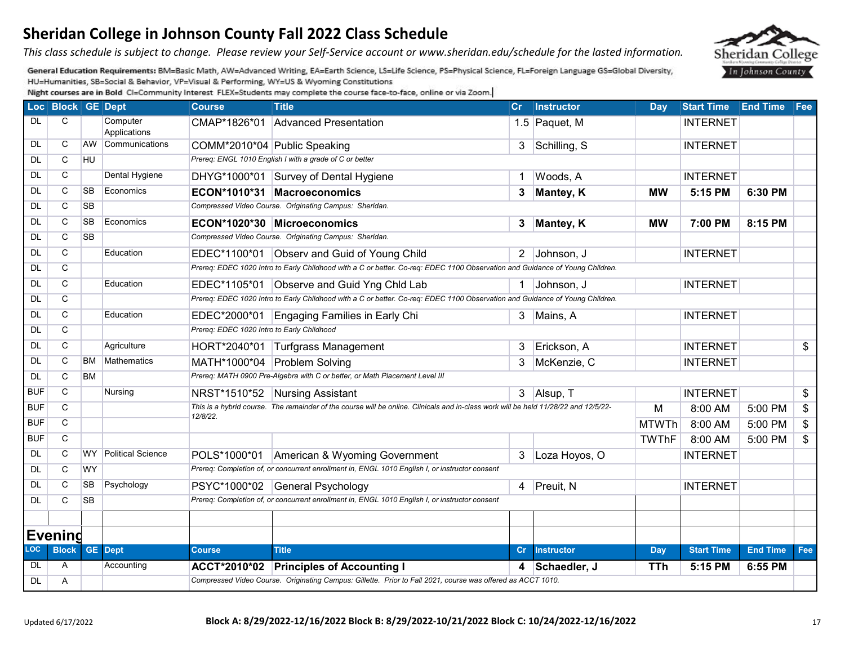*This class schedule is subject to change. Please review your Self-Service account or www.sheridan.edu/schedule for the lasted information.* 

General Education Requirements: BM=Basic Math, AW=Advanced Writing, EA=Earth Science, LS=Life Science, PS=Physical Science, FL=Foreign Language GS=Global Diversity, HU=Humanities, SB=Social & Behavior, VP=Visual & Performing, WY=US & Wyoming Constitutions

|            | Loc Block GE Dept       |           |                          | <b>Course</b>                              | <b>Title</b>                                                                                                                        | $\mathsf{Cr}$ | Instructor        | Day          | Start Time End Time Fee |                 |                 |  |
|------------|-------------------------|-----------|--------------------------|--------------------------------------------|-------------------------------------------------------------------------------------------------------------------------------------|---------------|-------------------|--------------|-------------------------|-----------------|-----------------|--|
| <b>DL</b>  | C.                      |           | Computer<br>Applications |                                            | CMAP*1826*01 Advanced Presentation                                                                                                  |               | 1.5 Paquet, M     |              | <b>INTERNET</b>         |                 |                 |  |
| DL         | C                       | AW        | Communications           |                                            | COMM*2010*04 Public Speaking                                                                                                        |               | 3 Schilling, S    |              | <b>INTERNET</b>         |                 |                 |  |
| <b>DL</b>  | $\overline{C}$          | HU        |                          |                                            | Prereq: ENGL 1010 English I with a grade of C or better                                                                             |               |                   |              |                         |                 |                 |  |
| <b>DL</b>  | C                       |           | Dental Hygiene           |                                            | DHYG*1000*01 Survey of Dental Hygiene                                                                                               | 1             | Woods, A          |              | <b>INTERNET</b>         |                 |                 |  |
| <b>DL</b>  | C                       | <b>SB</b> | Economics                |                                            | ECON*1010*31 Macroeconomics                                                                                                         |               | 3 Mantey, K       | <b>MW</b>    | 5:15 PM                 | 6:30 PM         |                 |  |
| <b>DL</b>  | C                       | <b>SB</b> |                          |                                            | Compressed Video Course. Originating Campus: Sheridan.                                                                              |               |                   |              |                         |                 |                 |  |
| <b>DL</b>  | C                       | SB        | Economics                |                                            | ECON*1020*30 Microeconomics                                                                                                         |               | 3 Mantey, K       | <b>MW</b>    | 7:00 PM                 | 8:15 PM         |                 |  |
| <b>DL</b>  | C                       | SB        |                          |                                            | Compressed Video Course. Originating Campus: Sheridan.                                                                              |               |                   |              |                         |                 |                 |  |
| <b>DL</b>  | $\overline{C}$          |           | Education                |                                            | EDEC*1100*01 Observ and Guid of Young Child                                                                                         |               | 2 Johnson, J      |              | <b>INTERNET</b>         |                 |                 |  |
| <b>DL</b>  | C                       |           |                          |                                            | Prereq: EDEC 1020 Intro to Early Childhood with a C or better. Co-req: EDEC 1100 Observation and Guidance of Young Children.        |               |                   |              |                         |                 |                 |  |
| <b>DL</b>  | $\overline{C}$          |           | Education                |                                            | EDEC*1105*01 Observe and Guid Yng Chid Lab                                                                                          |               | 1 Johnson, J      |              | <b>INTERNET</b>         |                 |                 |  |
| <b>DL</b>  | C                       |           |                          |                                            | Prereq: EDEC 1020 Intro to Early Childhood with a C or better. Co-req: EDEC 1100 Observation and Guidance of Young Children.        |               |                   |              |                         |                 |                 |  |
| <b>DL</b>  | C                       |           | Education                |                                            | EDEC*2000*01 Engaging Families in Early Chi                                                                                         |               | 3 Mains, A        |              | <b>INTERNET</b>         |                 |                 |  |
| DL         | C                       |           |                          | Prereq: EDEC 1020 Intro to Early Childhood |                                                                                                                                     |               |                   |              |                         |                 |                 |  |
| DL         | C                       |           | Agriculture              |                                            | HORT*2040*01 Turfgrass Management                                                                                                   | 3             | Erickson, A       |              | <b>INTERNET</b>         |                 | \$              |  |
| DL         | C                       | BM        | <b>Mathematics</b>       |                                            | MATH*1000*04 Problem Solving                                                                                                        | 3             | McKenzie, C       |              | <b>INTERNET</b>         |                 |                 |  |
| <b>DL</b>  | $\overline{\mathsf{C}}$ | <b>BM</b> |                          |                                            | Prereq: MATH 0900 Pre-Algebra with C or better, or Math Placement Level III                                                         |               |                   |              |                         |                 |                 |  |
| <b>BUF</b> | $\overline{C}$          |           | Nursing                  |                                            | NRST*1510*52 Nursing Assistant                                                                                                      |               | 3 Alsup, T        |              | <b>INTERNET</b>         |                 | $\overline{\$}$ |  |
| <b>BUF</b> | C.                      |           |                          |                                            | This is a hybrid course. The remainder of the course will be online. Clinicals and in-class work will be held 11/28/22 and 12/5/22- |               |                   | M            | 8:00 AM                 | 5:00 PM         | \$              |  |
| <b>BUF</b> | C                       |           |                          | 12/8/22.                                   |                                                                                                                                     |               |                   | MTWTh        | 8:00 AM                 | 5:00 PM         | \$              |  |
| <b>BUF</b> | $\overline{C}$          |           |                          |                                            |                                                                                                                                     |               |                   | <b>TWThF</b> | 8:00 AM                 | 5:00 PM         | $\overline{\$}$ |  |
| DL         | C                       | <b>WY</b> | <b>Political Science</b> | POLS*1000*01                               | American & Wyoming Government                                                                                                       | $\mathbf{3}$  | Loza Hoyos, O     |              | <b>INTERNET</b>         |                 |                 |  |
| <b>DL</b>  | С                       | <b>WY</b> |                          |                                            | Prereq: Completion of, or concurrent enrollment in, ENGL 1010 English I, or instructor consent                                      |               |                   |              |                         |                 |                 |  |
| DL         | C                       | SB        | Psychology               |                                            | PSYC*1000*02 General Psychology                                                                                                     |               | 4 Preuit, N       |              | <b>INTERNET</b>         |                 |                 |  |
| DL         | C                       | <b>SB</b> |                          |                                            | Prereq: Completion of, or concurrent enrollment in, ENGL 1010 English I, or instructor consent                                      |               |                   |              |                         |                 |                 |  |
|            |                         |           |                          |                                            |                                                                                                                                     |               |                   |              |                         |                 |                 |  |
|            | <b>Evening</b>          |           |                          |                                            |                                                                                                                                     |               |                   |              |                         |                 |                 |  |
| <b>LOC</b> | <b>Block</b>            |           | <b>GE</b> Dept           | <b>Course</b>                              | <b>Title</b>                                                                                                                        | cr            | <b>Instructor</b> | <b>Day</b>   | <b>Start Time</b>       | <b>End Time</b> | Fee             |  |
| DL         | Α                       |           | Accounting               |                                            | ACCT*2010*02 Principles of Accounting I                                                                                             | 4             | Schaedler, J      | TTh          | 5:15 PM                 | 6:55 PM         |                 |  |
| DL         | A                       |           |                          |                                            | Compressed Video Course. Originating Campus: Gillette. Prior to Fall 2021, course was offered as ACCT 1010.                         |               |                   |              |                         |                 |                 |  |

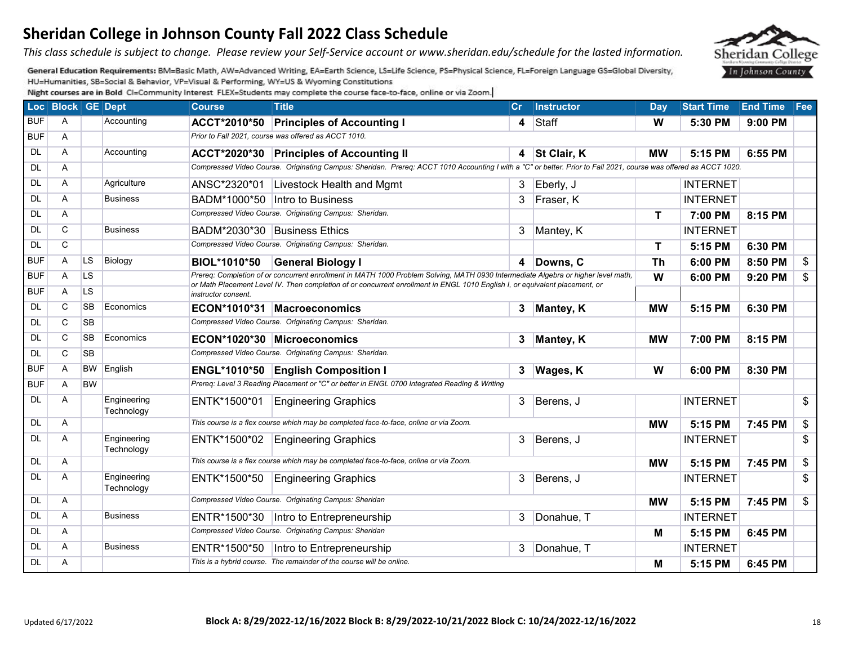*This class schedule is subject to change. Please review your Self-Service account or www.sheridan.edu/schedule for the lasted information.* 

General Education Requirements: BM=Basic Math, AW=Advanced Writing, EA=Earth Science, LS=Life Science, PS=Physical Science, FL=Foreign Language GS=Global Diversity, HU=Humanities, SB=Social & Behavior, VP=Visual & Performing, WY=US & Wyoming Constitutions

|            | Loc Block GE Dept |           |                           | <b>Course</b>       | <b>Title</b>                                                                                                                                                     |                                                                                                                             | Cr Instructor | <b>Day</b>  | <b>Start Time</b> | <b>End Time Fee</b> |                           |  |  |
|------------|-------------------|-----------|---------------------------|---------------------|------------------------------------------------------------------------------------------------------------------------------------------------------------------|-----------------------------------------------------------------------------------------------------------------------------|---------------|-------------|-------------------|---------------------|---------------------------|--|--|
| <b>BUF</b> | A                 |           | Accounting                | <b>ACCT*2010*50</b> | <b>Principles of Accounting I</b>                                                                                                                                |                                                                                                                             | 4 Staff       | W           | 5:30 PM           | 9:00 PM             |                           |  |  |
| <b>BUF</b> | A                 |           |                           |                     | Prior to Fall 2021, course was offered as ACCT 1010.                                                                                                             |                                                                                                                             |               |             |                   |                     |                           |  |  |
| DL         | A                 |           | Accounting                |                     | ACCT*2020*30 Principles of Accounting II                                                                                                                         |                                                                                                                             | 4 St Clair, K | <b>MW</b>   | 5:15 PM           | 6:55 PM             |                           |  |  |
| DL         | A                 |           |                           |                     | Compressed Video Course. Originating Campus: Sheridan. Prereq: ACCT 1010 Accounting I with a "C" or better. Prior to Fall 2021, course was offered as ACCT 1020. |                                                                                                                             |               |             |                   |                     |                           |  |  |
| DL         | A                 |           | Agriculture               | ANSC*2320*01        | Livestock Health and Mgmt                                                                                                                                        | $\mathbf{3}$                                                                                                                | Eberly, J     |             | <b>INTERNET</b>   |                     |                           |  |  |
| <b>DL</b>  | A                 |           | <b>Business</b>           | BADM*1000*50        | Intro to Business                                                                                                                                                | 3                                                                                                                           | Fraser, K     |             | <b>INTERNET</b>   |                     |                           |  |  |
| <b>DL</b>  | A                 |           |                           |                     | Compressed Video Course. Originating Campus: Sheridan.                                                                                                           |                                                                                                                             |               | T           | 7:00 PM           | 8:15 PM             |                           |  |  |
| DL         | C                 |           | <b>Business</b>           |                     | BADM*2030*30 Business Ethics                                                                                                                                     | 3                                                                                                                           | Mantey, K     |             | <b>INTERNET</b>   |                     |                           |  |  |
| <b>DL</b>  | C                 |           |                           |                     | Compressed Video Course. Originating Campus: Sheridan.                                                                                                           |                                                                                                                             |               | $\mathbf T$ | 5:15 PM           | 6:30 PM             |                           |  |  |
| <b>BUF</b> | A                 | <b>LS</b> | Biology                   | <b>BIOL*1010*50</b> | <b>General Biology I</b>                                                                                                                                         |                                                                                                                             | 4 Downs, C    | <b>Th</b>   | 6:00 PM           | 8:50 PM             | \$                        |  |  |
| <b>BUF</b> | A                 | LS.       |                           |                     | Prereq: Completion of or concurrent enrollment in MATH 1000 Problem Solving, MATH 0930 Intermediate Algebra or higher level math,                                |                                                                                                                             |               | W           | 6:00 PM           | 9:20 PM             | \$                        |  |  |
| <b>BUF</b> | Α                 | LS        |                           | instructor consent. |                                                                                                                                                                  | or Math Placement Level IV. Then completion of or concurrent enrollment in ENGL 1010 English I, or equivalent placement, or |               |             |                   |                     |                           |  |  |
| DL         | C                 | <b>SB</b> | Economics                 |                     | ECON*1010*31 Macroeconomics                                                                                                                                      |                                                                                                                             | 3 Mantey, K   | <b>MW</b>   | 5:15 PM           | 6:30 PM             |                           |  |  |
| <b>DL</b>  | C                 | <b>SB</b> |                           |                     | Compressed Video Course. Originating Campus: Sheridan.                                                                                                           |                                                                                                                             |               |             |                   |                     |                           |  |  |
| <b>DL</b>  | C                 | <b>SB</b> | Economics                 |                     | ECON*1020*30 Microeconomics                                                                                                                                      |                                                                                                                             | 3 Mantey, K   | <b>MW</b>   | 7:00 PM           | 8:15 PM             |                           |  |  |
| <b>DL</b>  | C                 | <b>SB</b> |                           |                     | Compressed Video Course. Originating Campus: Sheridan.                                                                                                           |                                                                                                                             |               |             |                   |                     |                           |  |  |
| <b>BUF</b> | A                 | <b>BW</b> | English                   |                     | ENGL*1010*50 English Composition I                                                                                                                               |                                                                                                                             | 3 Wages, K    | W           | 6:00 PM           | 8:30 PM             |                           |  |  |
| <b>BUF</b> | A                 | <b>BW</b> |                           |                     | Prereq: Level 3 Reading Placement or "C" or better in ENGL 0700 Integrated Reading & Writing                                                                     |                                                                                                                             |               |             |                   |                     |                           |  |  |
| DL         | A                 |           | Engineering<br>Technology | ENTK*1500*01        | <b>Engineering Graphics</b>                                                                                                                                      | 3                                                                                                                           | Berens, J     |             | <b>INTERNET</b>   |                     | $\boldsymbol{\mathsf{s}}$ |  |  |
| <b>DL</b>  | A                 |           |                           |                     | This course is a flex course which may be completed face-to-face, online or via Zoom.                                                                            |                                                                                                                             |               | <b>MW</b>   | 5:15 PM           | 7:45 PM             | \$                        |  |  |
| <b>DL</b>  | A                 |           | Engineering<br>Technology | ENTK*1500*02        | <b>Engineering Graphics</b>                                                                                                                                      | 3                                                                                                                           | Berens, J     |             | <b>INTERNET</b>   |                     | \$                        |  |  |
| <b>DL</b>  | A                 |           |                           |                     | This course is a flex course which may be completed face-to-face, online or via Zoom.                                                                            |                                                                                                                             |               | <b>MW</b>   | 5:15 PM           | 7:45 PM             | \$                        |  |  |
| <b>DL</b>  | A                 |           | Engineering<br>Technology | ENTK*1500*50        | <b>Engineering Graphics</b>                                                                                                                                      | 3                                                                                                                           | Berens, J     |             | <b>INTERNET</b>   |                     | $\boldsymbol{\mathsf{s}}$ |  |  |
| <b>DL</b>  | Α                 |           |                           |                     | Compressed Video Course. Originating Campus: Sheridan                                                                                                            |                                                                                                                             |               | <b>MW</b>   | 5:15 PM           | 7:45 PM             | \$                        |  |  |
| <b>DL</b>  | A                 |           | <b>Business</b>           |                     | ENTR*1500*30   Intro to Entrepreneurship                                                                                                                         | $\mathbf{3}$                                                                                                                | Donahue, T    |             | <b>INTERNET</b>   |                     |                           |  |  |
| DL         | A                 |           |                           |                     | Compressed Video Course. Originating Campus: Sheridan<br>м<br>5:15 PM                                                                                            |                                                                                                                             |               |             |                   |                     |                           |  |  |
| <b>DL</b>  | A                 |           | <b>Business</b>           | ENTR*1500*50        | Intro to Entrepreneurship                                                                                                                                        | $\mathbf{3}$                                                                                                                | Donahue, T    |             | <b>INTERNET</b>   |                     |                           |  |  |
| <b>DL</b>  | Α                 |           |                           |                     | This is a hybrid course. The remainder of the course will be online.                                                                                             |                                                                                                                             |               | М           | 5:15 PM           | 6:45 PM             |                           |  |  |